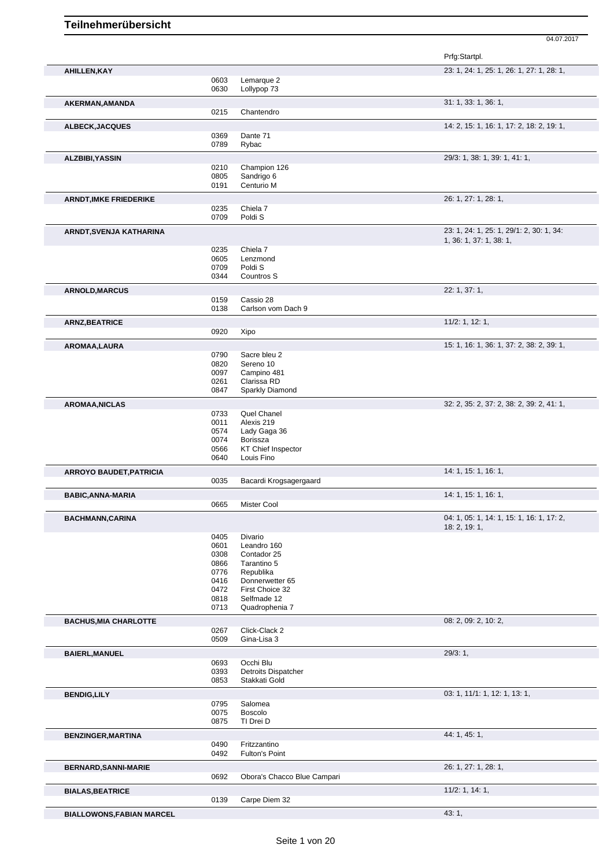|                                  |              |                                         | Prfg:Startpl.                             |
|----------------------------------|--------------|-----------------------------------------|-------------------------------------------|
| AHILLEN, KAY                     |              |                                         | 23: 1, 24: 1, 25: 1, 26: 1, 27: 1, 28: 1, |
|                                  | 0603         | Lemarque 2                              |                                           |
|                                  | 0630         | Lollypop 73                             |                                           |
| AKERMAN, AMANDA                  | 0215         | Chantendro                              | 31: 1, 33: 1, 36: 1,                      |
|                                  |              |                                         |                                           |
| ALBECK, JACQUES                  |              |                                         | 14: 2, 15: 1, 16: 1, 17: 2, 18: 2, 19: 1, |
|                                  | 0369<br>0789 | Dante 71<br>Rybac                       |                                           |
|                                  |              |                                         |                                           |
| ALZBIBI, YASSIN                  |              |                                         | 29/3: 1, 38: 1, 39: 1, 41: 1,             |
|                                  | 0210<br>0805 | Champion 126<br>Sandrigo 6              |                                           |
|                                  | 0191         | Centurio M                              |                                           |
| <b>ARNDT, IMKE FRIEDERIKE</b>    |              |                                         | 26: 1, 27: 1, 28: 1,                      |
|                                  | 0235         | Chiela 7                                |                                           |
|                                  | 0709         | Poldi <sub>S</sub>                      |                                           |
| ARNDT, SVENJA KATHARINA          |              |                                         | 23: 1, 24: 1, 25: 1, 29/1: 2, 30: 1, 34:  |
|                                  |              |                                         | 1, 36: 1, 37: 1, 38: 1,                   |
|                                  | 0235         | Chiela 7                                |                                           |
|                                  | 0605         | Lenzmond                                |                                           |
|                                  | 0709<br>0344 | Poldi <sub>S</sub><br>Countros S        |                                           |
|                                  |              |                                         |                                           |
| <b>ARNOLD, MARCUS</b>            |              |                                         | 22: 1, 37: 1,                             |
|                                  | 0159<br>0138 | Cassio 28<br>Carlson vom Dach 9         |                                           |
|                                  |              |                                         |                                           |
| <b>ARNZ, BEATRICE</b>            |              |                                         | 11/2: 1, 12: 1,                           |
|                                  | 0920         | Xipo                                    |                                           |
| AROMAA, LAURA                    |              |                                         | 15: 1, 16: 1, 36: 1, 37: 2, 38: 2, 39: 1, |
|                                  | 0790<br>0820 | Sacre bleu 2<br>Sereno 10               |                                           |
|                                  | 0097         | Campino 481                             |                                           |
|                                  | 0261         | Clarissa RD                             |                                           |
|                                  | 0847         | Sparkly Diamond                         |                                           |
| <b>AROMAA, NICLAS</b>            |              |                                         | 32: 2, 35: 2, 37: 2, 38: 2, 39: 2, 41: 1, |
|                                  | 0733         | Quel Chanel                             |                                           |
|                                  | 0011         | Alexis 219                              |                                           |
|                                  | 0574         | Lady Gaga 36                            |                                           |
|                                  | 0074         | Borissza                                |                                           |
|                                  | 0566<br>0640 | <b>KT Chief Inspector</b><br>Louis Fino |                                           |
|                                  |              |                                         |                                           |
| <b>ARROYO BAUDET, PATRICIA</b>   |              |                                         | 14: 1, 15: 1, 16: 1,                      |
|                                  | 0035         | Bacardi Krogsagergaard                  |                                           |
| <b>BABIC, ANNA-MARIA</b>         |              |                                         | 14: 1, 15: 1, 16: 1,                      |
|                                  | 0665         | Mister Cool                             |                                           |
| <b>BACHMANN,CARINA</b>           |              |                                         | 04: 1, 05: 1, 14: 1, 15: 1, 16: 1, 17: 2, |
|                                  |              |                                         | 18: 2, 19: 1,                             |
|                                  | 0405         | Divario                                 |                                           |
|                                  | 0601<br>0308 | Leandro 160<br>Contador 25              |                                           |
|                                  | 0866         | Tarantino 5                             |                                           |
|                                  | 0776         | Republika                               |                                           |
|                                  | 0416         | Donnerwetter 65                         |                                           |
|                                  | 0472         | First Choice 32<br>Selfmade 12          |                                           |
|                                  | 0818<br>0713 | Quadrophenia 7                          |                                           |
|                                  |              |                                         |                                           |
| <b>BACHUS, MIA CHARLOTTE</b>     |              | Click-Clack 2                           | 08: 2, 09: 2, 10: 2,                      |
|                                  | 0267<br>0509 | Gina-Lisa 3                             |                                           |
|                                  |              |                                         |                                           |
| <b>BAIERL, MANUEL</b>            |              |                                         | 29/3:1,                                   |
|                                  | 0693<br>0393 | Occhi Blu<br><b>Detroits Dispatcher</b> |                                           |
|                                  | 0853         | Stakkati Gold                           |                                           |
|                                  |              |                                         |                                           |
| <b>BENDIG,LILY</b>               | 0795         | Salomea                                 | 03: 1, 11/1: 1, 12: 1, 13: 1,             |
|                                  | 0075         | Boscolo                                 |                                           |
|                                  | 0875         | TI Drei D                               |                                           |
| <b>BENZINGER, MARTINA</b>        |              |                                         | 44: 1, 45: 1,                             |
|                                  | 0490         | Fritzzantino                            |                                           |
|                                  | 0492         | Fulton's Point                          |                                           |
|                                  |              |                                         | 26: 1, 27: 1, 28: 1,                      |
| <b>BERNARD, SANNI-MARIE</b>      | 0692         | Obora's Chacco Blue Campari             |                                           |
|                                  |              |                                         |                                           |
| <b>BIALAS, BEATRICE</b>          |              |                                         | 11/2: 1, 14: 1,                           |
|                                  | 0139         | Carpe Diem 32                           |                                           |
| <b>BIALLOWONS, FABIAN MARCEL</b> |              |                                         | 43: 1,                                    |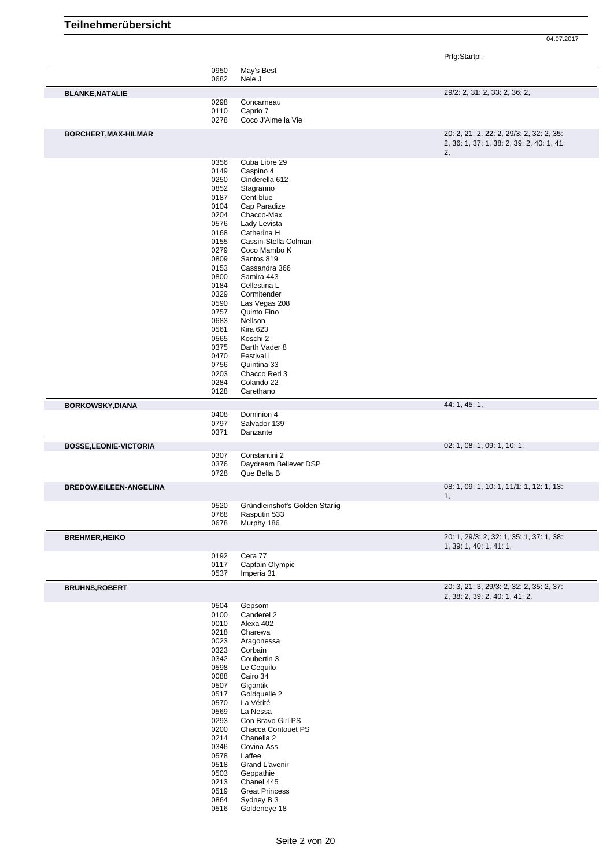**Teilnehmerübersicht**

|                               | 0950<br>0682 | May's Best<br>Nele J                                |                                                                                             |
|-------------------------------|--------------|-----------------------------------------------------|---------------------------------------------------------------------------------------------|
| <b>BLANKE, NATALIE</b>        |              |                                                     | 29/2: 2, 31: 2, 33: 2, 36: 2,                                                               |
|                               | 0298         | Concarneau                                          |                                                                                             |
|                               | 0110<br>0278 | Caprio 7<br>Coco J'Aime la Vie                      |                                                                                             |
| BORCHERT, MAX-HILMAR          |              |                                                     | 20: 2, 21: 2, 22: 2, 29/3: 2, 32: 2, 35:<br>2, 36: 1, 37: 1, 38: 2, 39: 2, 40: 1, 41:<br>2, |
|                               | 0356<br>0149 | Cuba Libre 29<br>Caspino 4                          |                                                                                             |
|                               | 0250         | Cinderella 612                                      |                                                                                             |
|                               | 0852         | Stagranno                                           |                                                                                             |
|                               | 0187<br>0104 | Cent-blue<br>Cap Paradize                           |                                                                                             |
|                               | 0204         | Chacco-Max                                          |                                                                                             |
|                               | 0576         | Lady Levista                                        |                                                                                             |
|                               | 0168         | Catherina H                                         |                                                                                             |
|                               | 0155<br>0279 | Cassin-Stella Colman<br>Coco Mambo K                |                                                                                             |
|                               | 0809         | Santos 819                                          |                                                                                             |
|                               | 0153         | Cassandra 366                                       |                                                                                             |
|                               | 0800<br>0184 | Samira 443<br>Cellestina L                          |                                                                                             |
|                               | 0329         | Cormitender                                         |                                                                                             |
|                               | 0590         | Las Vegas 208                                       |                                                                                             |
|                               | 0757<br>0683 | Quinto Fino<br>Nellson                              |                                                                                             |
|                               | 0561         | Kira 623                                            |                                                                                             |
|                               | 0565         | Koschi 2                                            |                                                                                             |
|                               | 0375<br>0470 | Darth Vader 8<br>Festival L                         |                                                                                             |
|                               | 0756         | Quintina 33                                         |                                                                                             |
|                               | 0203         | Chacco Red 3                                        |                                                                                             |
|                               | 0284<br>0128 | Colando 22<br>Carethano                             |                                                                                             |
| <b>BORKOWSKY, DIANA</b>       |              |                                                     | 44: 1, 45: 1,                                                                               |
|                               | 0408         | Dominion 4                                          |                                                                                             |
|                               | 0797<br>0371 | Salvador 139<br>Danzante                            |                                                                                             |
|                               |              |                                                     | 02: 1, 08: 1, 09: 1, 10: 1,                                                                 |
| <b>BOSSE,LEONIE-VICTORIA</b>  |              |                                                     |                                                                                             |
|                               | 0307         | Constantini 2                                       |                                                                                             |
|                               | 0376<br>0728 | Daydream Believer DSP<br>Que Bella B                |                                                                                             |
| <b>BREDOW,EILEEN-ANGELINA</b> |              |                                                     | 08: 1, 09: 1, 10: 1, 11/1: 1, 12: 1, 13:                                                    |
|                               | 0520         |                                                     | 1,                                                                                          |
|                               | 0768         | Gründleinshof's Golden Starlig<br>Rasputin 533      |                                                                                             |
|                               | 0678         | Murphy 186                                          |                                                                                             |
| <b>BREHMER, HEIKO</b>         |              |                                                     | 20: 1, 29/3: 2, 32: 1, 35: 1, 37: 1, 38:<br>1, 39: 1, 40: 1, 41: 1,                         |
|                               | 0192         | Cera 77                                             |                                                                                             |
|                               | 0117<br>0537 | Captain Olympic<br>Imperia 31                       |                                                                                             |
| <b>BRUHNS, ROBERT</b>         |              |                                                     | 20: 3, 21: 3, 29/3: 2, 32: 2, 35: 2, 37:                                                    |
|                               | 0504         |                                                     | 2, 38: 2, 39: 2, 40: 1, 41: 2,                                                              |
|                               | 0100         | Gepsom<br>Canderel 2                                |                                                                                             |
|                               | 0010         | Alexa 402                                           |                                                                                             |
|                               | 0218         | Charewa                                             |                                                                                             |
|                               | 0023<br>0323 | Aragonessa<br>Corbain                               |                                                                                             |
|                               | 0342         | Coubertin 3                                         |                                                                                             |
|                               | 0598         | Le Cequilo                                          |                                                                                             |
|                               | 0088<br>0507 | Cairo 34<br>Gigantik                                |                                                                                             |
|                               | 0517         | Goldquelle 2                                        |                                                                                             |
|                               | 0570         | La Vérité                                           |                                                                                             |
|                               | 0569<br>0293 | La Nessa<br>Con Bravo Girl PS                       |                                                                                             |
|                               | 0200         | Chacca Contouet PS                                  |                                                                                             |
|                               | 0214         | Chanella 2                                          |                                                                                             |
|                               | 0346         | Covina Ass                                          |                                                                                             |
|                               | 0578<br>0518 | Laffee<br>Grand L'avenir                            |                                                                                             |
|                               | 0503         | Geppathie                                           |                                                                                             |
|                               | 0213<br>0519 | Chanel 445                                          |                                                                                             |
|                               | 0864<br>0516 | <b>Great Princess</b><br>Sydney B 3<br>Goldeneye 18 |                                                                                             |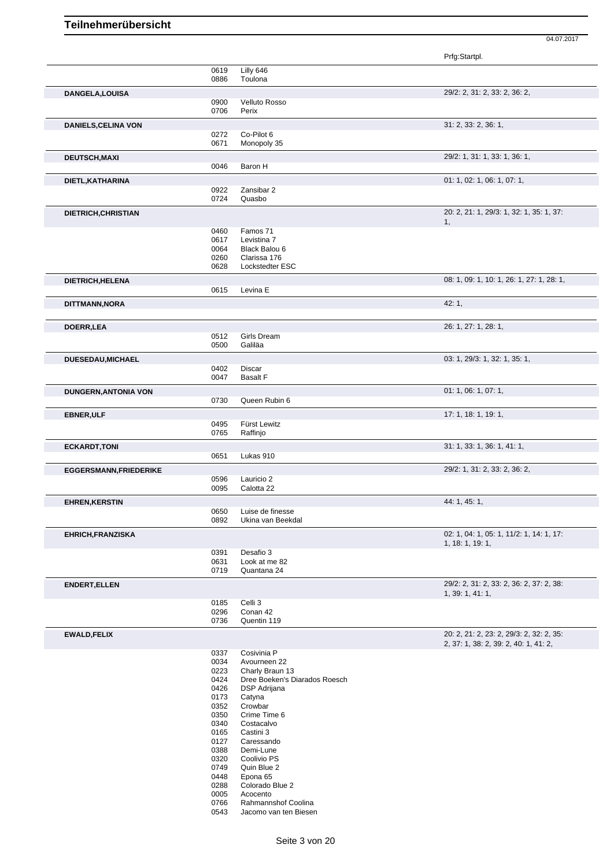|                               |              |                               | Prfg:Startpl.                             |
|-------------------------------|--------------|-------------------------------|-------------------------------------------|
|                               | 0619         | Lilly 646                     |                                           |
|                               | 0886         | Toulona                       |                                           |
| DANGELA, LOUISA               |              |                               | 29/2: 2, 31: 2, 33: 2, 36: 2,             |
|                               | 0900         | Velluto Rosso                 |                                           |
|                               | 0706         | Perix                         |                                           |
| <b>DANIELS, CELINA VON</b>    |              |                               | 31: 2, 33: 2, 36: 1,                      |
|                               | 0272<br>0671 | Co-Pilot 6<br>Monopoly 35     |                                           |
|                               |              |                               |                                           |
| <b>DEUTSCH, MAXI</b>          | 0046         | Baron H                       | 29/2: 1, 31: 1, 33: 1, 36: 1,             |
|                               |              |                               |                                           |
| DIETL, KATHARINA              |              |                               | 01: 1, 02: 1, 06: 1, 07: 1,               |
|                               | 0922<br>0724 | Zansibar 2<br>Quasbo          |                                           |
|                               |              |                               |                                           |
| DIETRICH, CHRISTIAN           |              |                               | 20: 2, 21: 1, 29/3: 1, 32: 1, 35: 1, 37:  |
|                               | 0460         | Famos 71                      | 1,                                        |
|                               | 0617         | Levistina 7                   |                                           |
|                               | 0064         | Black Balou 6                 |                                           |
|                               | 0260         | Clarissa 176                  |                                           |
|                               | 0628         | Lockstedter ESC               |                                           |
| DIETRICH, HELENA              |              |                               | 08: 1, 09: 1, 10: 1, 26: 1, 27: 1, 28: 1, |
|                               | 0615         | Levina E                      |                                           |
| DITTMANN, NORA                |              |                               | 42:1,                                     |
|                               |              |                               |                                           |
| DOERR, LEA                    |              |                               | 26: 1, 27: 1, 28: 1,                      |
|                               | 0512         | Girls Dream                   |                                           |
|                               | 0500         | Galiläa                       |                                           |
| DUESEDAU, MICHAEL             |              |                               | 03: 1, 29/3: 1, 32: 1, 35: 1,             |
|                               | 0402         | Discar                        |                                           |
|                               | 0047         | <b>Basalt F</b>               |                                           |
| <b>DUNGERN, ANTONIA VON</b>   |              |                               | 01: 1, 06: 1, 07: 1,                      |
|                               | 0730         | Queen Rubin 6                 |                                           |
|                               |              |                               | 17: 1, 18: 1, 19: 1,                      |
| <b>EBNER, ULF</b>             | 0495         | Fürst Lewitz                  |                                           |
|                               | 0765         | Raffinjo                      |                                           |
| <b>ECKARDT, TONI</b>          |              |                               | 31: 1, 33: 1, 36: 1, 41: 1,               |
|                               | 0651         | Lukas 910                     |                                           |
|                               |              |                               | 29/2: 1, 31: 2, 33: 2, 36: 2,             |
| <b>EGGERSMANN, FRIEDERIKE</b> | 0596         | Lauricio 2                    |                                           |
|                               | 0095         | Calotta 22                    |                                           |
|                               |              |                               | 44: 1, 45: 1,                             |
| <b>EHREN, KERSTIN</b>         | 0650         | Luise de finesse              |                                           |
|                               | 0892         | Ukina van Beekdal             |                                           |
| EHRICH, FRANZISKA             |              |                               | 02: 1, 04: 1, 05: 1, 11/2: 1, 14: 1, 17:  |
|                               |              |                               | 1, 18: 1, 19: 1,                          |
|                               | 0391         | Desafio 3                     |                                           |
|                               | 0631         | Look at me 82                 |                                           |
|                               | 0719         | Quantana 24                   |                                           |
| <b>ENDERT, ELLEN</b>          |              |                               | 29/2: 2, 31: 2, 33: 2, 36: 2, 37: 2, 38:  |
|                               |              |                               | 1, 39: 1, 41: 1,                          |
|                               | 0185<br>0296 | Celli 3<br>Conan 42           |                                           |
|                               | 0736         | Quentin 119                   |                                           |
|                               |              |                               | 20: 2, 21: 2, 23: 2, 29/3: 2, 32: 2, 35:  |
| <b>EWALD, FELIX</b>           |              |                               | 2, 37: 1, 38: 2, 39: 2, 40: 1, 41: 2,     |
|                               | 0337         | Cosivinia P                   |                                           |
|                               | 0034         | Avourneen 22                  |                                           |
|                               | 0223         | Charly Braun 13               |                                           |
|                               | 0424         | Dree Boeken's Diarados Roesch |                                           |
|                               | 0426<br>0173 | DSP Adrijana<br>Catyna        |                                           |
|                               | 0352         | Crowbar                       |                                           |
|                               | 0350         | Crime Time 6                  |                                           |
|                               | 0340         | Costacalvo                    |                                           |
|                               | 0165         | Castini 3                     |                                           |
|                               | 0127         | Caressando                    |                                           |
|                               | 0388<br>0320 | Demi-Lune<br>Coolivio PS      |                                           |
|                               | 0749         | Quin Blue 2                   |                                           |
|                               | 0448         | Epona 65                      |                                           |
|                               | 0288         | Colorado Blue 2               |                                           |
|                               | 0005         | Acocento                      |                                           |
|                               | 0766         | Rahmannshof Coolina           |                                           |
|                               | 0543         | Jacomo van ten Biesen         |                                           |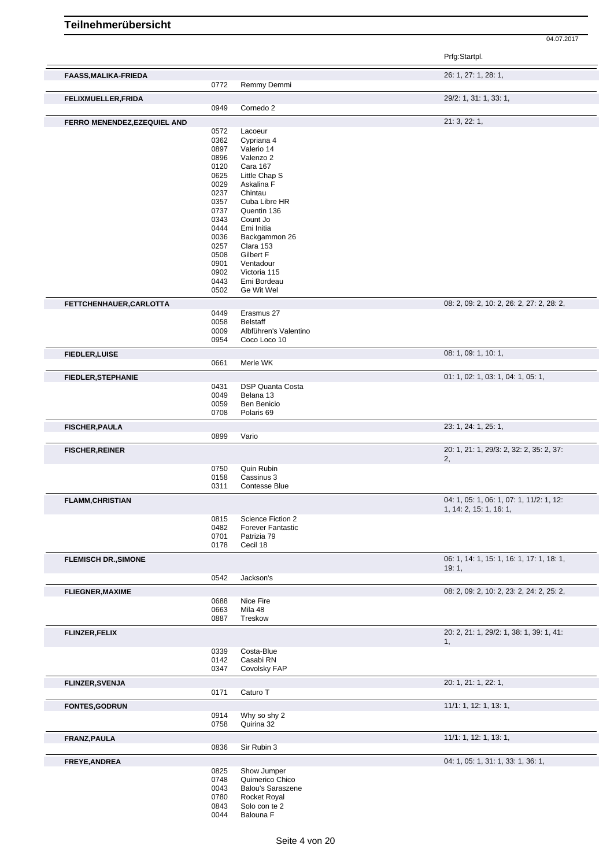|                              |              |                                      | Prfg:Startpl.                             |
|------------------------------|--------------|--------------------------------------|-------------------------------------------|
| <b>FAASS, MALIKA-FRIEDA</b>  |              |                                      | 26: 1, 27: 1, 28: 1,                      |
|                              | 0772         | Remmy Demmi                          |                                           |
| FELIXMUELLER, FRIDA          | 0949         | Cornedo 2                            | 29/2: 1, 31: 1, 33: 1,                    |
| FERRO MENENDEZ, EZEQUIEL AND |              |                                      | 21:3,22:1,                                |
|                              | 0572         | Lacoeur                              |                                           |
|                              | 0362         | Cypriana 4                           |                                           |
|                              | 0897         | Valerio 14                           |                                           |
|                              | 0896         | Valenzo 2                            |                                           |
|                              | 0120         | Cara 167                             |                                           |
|                              | 0625         | Little Chap S                        |                                           |
|                              | 0029         | Askalina F                           |                                           |
|                              | 0237<br>0357 | Chintau<br>Cuba Libre HR             |                                           |
|                              | 0737         | Quentin 136                          |                                           |
|                              | 0343         | Count Jo                             |                                           |
|                              | 0444         | Emi Initia                           |                                           |
|                              | 0036         | Backgammon 26                        |                                           |
|                              | 0257         | Clara 153                            |                                           |
|                              | 0508         | Gilbert F                            |                                           |
|                              | 0901         | Ventadour                            |                                           |
|                              | 0902         | Victoria 115                         |                                           |
|                              | 0443         | Emi Bordeau                          |                                           |
|                              | 0502         | Ge Wit Wel                           |                                           |
| FETTCHENHAUER, CARLOTTA      | 0449         | Erasmus 27                           | 08: 2, 09: 2, 10: 2, 26: 2, 27: 2, 28: 2, |
|                              | 0058         | <b>Belstaff</b>                      |                                           |
|                              | 0009         | Albführen's Valentino                |                                           |
|                              | 0954         | Coco Loco 10                         |                                           |
| <b>FIEDLER, LUISE</b>        |              |                                      | 08: 1, 09: 1, 10: 1,                      |
|                              | 0661         | Merle WK                             |                                           |
| <b>FIEDLER, STEPHANIE</b>    |              |                                      | 01: 1, 02: 1, 03: 1, 04: 1, 05: 1,        |
|                              | 0431<br>0049 | <b>DSP Quanta Costa</b><br>Belana 13 |                                           |
|                              | 0059         | Ben Benicio                          |                                           |
|                              | 0708         | Polaris 69                           |                                           |
| <b>FISCHER, PAULA</b>        |              |                                      | 23: 1, 24: 1, 25: 1,                      |
|                              | 0899         | Vario                                |                                           |
| <b>FISCHER, REINER</b>       |              |                                      | 20: 1, 21: 1, 29/3: 2, 32: 2, 35: 2, 37:  |
|                              |              |                                      | 2,                                        |
|                              | 0750         | Quin Rubin                           |                                           |
|                              | 0158         | Cassinus 3                           |                                           |
|                              | 0311         | <b>Contesse Blue</b>                 |                                           |
| <b>FLAMM, CHRISTIAN</b>      |              |                                      | 04: 1, 05: 1, 06: 1, 07: 1, 11/2: 1, 12:  |
|                              | 0815         | Science Fiction 2                    | 1, 14: 2, 15: 1, 16: 1,                   |
|                              | 0482         | <b>Forever Fantastic</b>             |                                           |
|                              | 0701         | Patrizia 79                          |                                           |
|                              | 0178         | Cecil 18                             |                                           |
| <b>FLEMISCH DR., SIMONE</b>  |              |                                      | 06: 1, 14: 1, 15: 1, 16: 1, 17: 1, 18: 1, |
|                              | 0542         | Jackson's                            | 19:1,                                     |
| <b>FLIEGNER, MAXIME</b>      |              |                                      | 08: 2, 09: 2, 10: 2, 23: 2, 24: 2, 25: 2, |
|                              | 0688         | Nice Fire                            |                                           |
|                              | 0663         | Mila 48                              |                                           |
|                              | 0887         | Treskow                              |                                           |
| <b>FLINZER, FELIX</b>        |              |                                      | 20: 2, 21: 1, 29/2: 1, 38: 1, 39: 1, 41:  |
|                              | 0339         | Costa-Blue                           | 1,                                        |
|                              | 0142         | Casabi RN                            |                                           |
|                              | 0347         | Covolsky FAP                         |                                           |
| <b>FLINZER, SVENJA</b>       |              |                                      | 20: 1, 21: 1, 22: 1,                      |
|                              | 0171         | Caturo T                             |                                           |
| <b>FONTES, GODRUN</b>        | 0914         | Why so shy 2                         | 11/1: 1, 12: 1, 13: 1,                    |
|                              | 0758         | Quirina 32                           |                                           |
| FRANZ, PAULA                 |              |                                      | 11/1: 1, 12: 1, 13: 1,                    |
|                              | 0836         | Sir Rubin 3                          |                                           |
| FREYE, ANDREA                | 0825         | Show Jumper                          | 04: 1, 05: 1, 31: 1, 33: 1, 36: 1,        |
|                              | 0748         | Quimerico Chico                      |                                           |
|                              | 0043         | <b>Balou's Saraszene</b>             |                                           |
|                              | 0780         | Rocket Royal                         |                                           |
|                              | 0843         | Solo con te 2                        |                                           |
|                              | 0044         | Balouna F                            |                                           |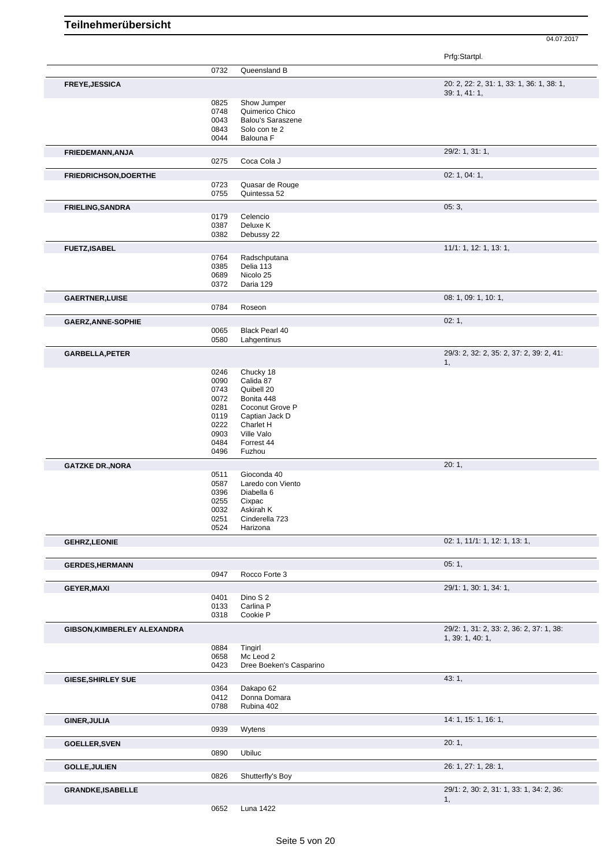|                             |              |                            | Prfg:Startpl.                                                |
|-----------------------------|--------------|----------------------------|--------------------------------------------------------------|
|                             | 0732         | Queensland B               |                                                              |
| FREYE, JESSICA              |              |                            | 20: 2, 22: 2, 31: 1, 33: 1, 36: 1, 38: 1,                    |
|                             | 0825         | Show Jumper                | 39: 1, 41: 1,                                                |
|                             | 0748         | Quimerico Chico            |                                                              |
|                             | 0043         | <b>Balou's Saraszene</b>   |                                                              |
|                             | 0843         | Solo con te 2              |                                                              |
|                             | 0044         | Balouna F                  |                                                              |
| FRIEDEMANN, ANJA            | 0275         | Coca Cola J                | 29/2: 1, 31: 1,                                              |
|                             |              |                            |                                                              |
| FRIEDRICHSON, DOERTHE       | 0723         | Quasar de Rouge            | 02: 1, 04: 1,                                                |
|                             | 0755         | Quintessa 52               |                                                              |
| <b>FRIELING, SANDRA</b>     |              |                            | 05:3,                                                        |
|                             | 0179         | Celencio                   |                                                              |
|                             | 0387         | Deluxe K                   |                                                              |
|                             | 0382         | Debussy 22                 |                                                              |
| <b>FUETZ,ISABEL</b>         | 0764         | Radschputana               | 11/1: 1, 12: 1, 13: 1,                                       |
|                             | 0385         | Delia 113                  |                                                              |
|                             | 0689         | Nicolo 25                  |                                                              |
|                             | 0372         | Daria 129                  |                                                              |
| <b>GAERTNER, LUISE</b>      |              |                            | 08: 1, 09: 1, 10: 1,                                         |
|                             | 0784         | Roseon                     |                                                              |
| <b>GAERZ, ANNE-SOPHIE</b>   |              |                            | 02:1,                                                        |
|                             | 0065         | Black Pearl 40             |                                                              |
|                             | 0580         | Lahgentinus                |                                                              |
| GARBELLA, PETER             |              |                            | 29/3: 2, 32: 2, 35: 2, 37: 2, 39: 2, 41:<br>1,               |
|                             | 0246         | Chucky 18                  |                                                              |
|                             | 0090         | Calida 87                  |                                                              |
|                             | 0743         | Quibell 20                 |                                                              |
|                             | 0072         | Bonita 448                 |                                                              |
|                             | 0281         | Coconut Grove P            |                                                              |
|                             | 0119         | Captian Jack D             |                                                              |
|                             | 0222<br>0903 | Charlet H<br>Ville Valo    |                                                              |
|                             | 0484         | Forrest 44                 |                                                              |
|                             | 0496         | Fuzhou                     |                                                              |
|                             |              |                            |                                                              |
| <b>GATZKE DR., NORA</b>     | 0511         | Gioconda 40                | 20:1,                                                        |
|                             | 0587         | Laredo con Viento          |                                                              |
|                             | 0396         | Diabella 6                 |                                                              |
|                             | 0255         | Cixpac                     |                                                              |
|                             | 0032         | Askirah K                  |                                                              |
|                             | 0251         | Cinderella 723             |                                                              |
|                             | 0524         | Harizona                   |                                                              |
| <b>GEHRZ,LEONIE</b>         |              |                            | 02: 1, 11/1: 1, 12: 1, 13: 1,                                |
| <b>GERDES, HERMANN</b>      |              |                            | 05:1,                                                        |
|                             | 0947         | Rocco Forte 3              |                                                              |
| <b>GEYER, MAXI</b>          |              |                            | 29/1: 1, 30: 1, 34: 1,                                       |
|                             | 0401         | Dino S 2                   |                                                              |
|                             | 0133<br>0318 | Carlina P<br>Cookie P      |                                                              |
|                             |              |                            |                                                              |
| GIBSON, KIMBERLEY ALEXANDRA |              |                            | 29/2: 1, 31: 2, 33: 2, 36: 2, 37: 1, 38:<br>1, 39: 1, 40: 1, |
|                             | 0884         | Tingirl                    |                                                              |
|                             | 0658         | Mc Leod 2                  |                                                              |
|                             | 0423         | Dree Boeken's Casparino    |                                                              |
| <b>GIESE, SHIRLEY SUE</b>   |              |                            | 43: 1,                                                       |
|                             | 0364         | Dakapo 62                  |                                                              |
|                             | 0412<br>0788 | Donna Domara<br>Rubina 402 |                                                              |
| <b>GINER, JULIA</b>         |              |                            | 14: 1, 15: 1, 16: 1,                                         |
|                             | 0939         | Wytens                     |                                                              |
| <b>GOELLER, SVEN</b>        |              |                            | 20:1,                                                        |
|                             | 0890         | Ubiluc                     |                                                              |
| <b>GOLLE, JULIEN</b>        |              |                            | 26: 1, 27: 1, 28: 1,                                         |
|                             | 0826         | Shutterfly's Boy           |                                                              |
| <b>GRANDKE, ISABELLE</b>    |              |                            | 29/1: 2, 30: 2, 31: 1, 33: 1, 34: 2, 36:                     |
|                             |              |                            | 1,                                                           |

Luna 1422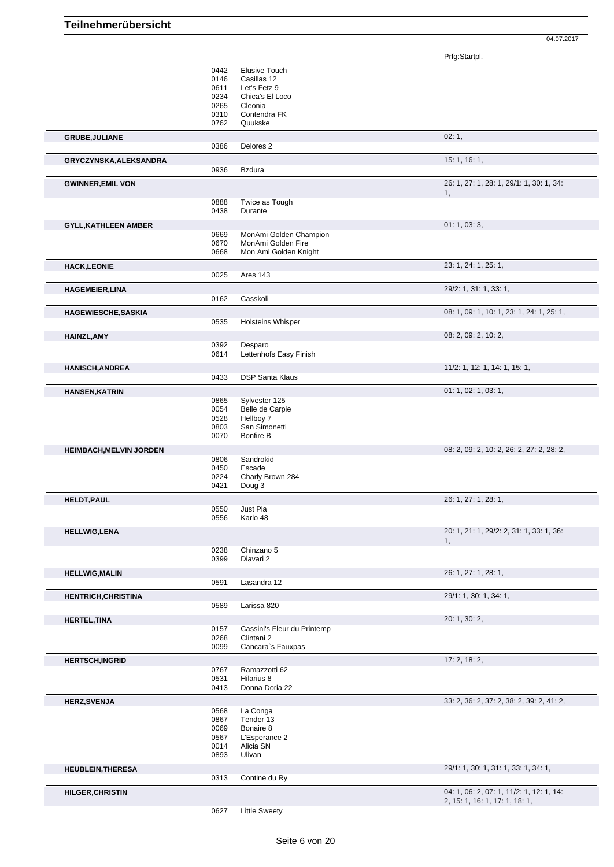|                                | 0442         | Elusive Touch                     |                                                |
|--------------------------------|--------------|-----------------------------------|------------------------------------------------|
|                                | 0146         | Casillas 12                       |                                                |
|                                | 0611         | Let's Fetz 9                      |                                                |
|                                | 0234         | Chica's El Loco                   |                                                |
|                                | 0265         | Cleonia                           |                                                |
|                                | 0310         | Contendra FK                      |                                                |
|                                | 0762         | Quukske                           |                                                |
| <b>GRUBE, JULIANE</b>          |              |                                   | 02:1,                                          |
|                                | 0386         | Delores <sub>2</sub>              |                                                |
| GRYCZYNSKA, ALEKSANDRA         |              |                                   | 15:1, 16:1,                                    |
|                                | 0936         | <b>Bzdura</b>                     |                                                |
| <b>GWINNER, EMIL VON</b>       |              |                                   | 26: 1, 27: 1, 28: 1, 29/1: 1, 30: 1, 34:<br>1, |
|                                | 0888         | Twice as Tough                    |                                                |
|                                | 0438         | Durante                           |                                                |
| <b>GYLL, KATHLEEN AMBER</b>    | 0669         | MonAmi Golden Champion            | 01: 1, 03: 3,                                  |
|                                | 0670         | MonAmi Golden Fire                |                                                |
|                                | 0668         | Mon Ami Golden Knight             |                                                |
| <b>HACK,LEONIE</b>             |              |                                   | 23: 1, 24: 1, 25: 1,                           |
|                                | 0025         | Ares 143                          |                                                |
|                                |              |                                   | 29/2: 1, 31: 1, 33: 1,                         |
| <b>HAGEMEIER, LINA</b>         | 0162         | Casskoli                          |                                                |
|                                |              |                                   |                                                |
| <b>HAGEWIESCHE, SASKIA</b>     | 0535         | <b>Holsteins Whisper</b>          | 08: 1, 09: 1, 10: 1, 23: 1, 24: 1, 25: 1,      |
|                                |              |                                   |                                                |
| <b>HAINZL, AMY</b>             |              |                                   | 08: 2, 09: 2, 10: 2,                           |
|                                | 0392<br>0614 | Desparo<br>Lettenhofs Easy Finish |                                                |
|                                |              |                                   |                                                |
| <b>HANISCH, ANDREA</b>         |              |                                   | 11/2: 1, 12: 1, 14: 1, 15: 1,                  |
|                                | 0433         | <b>DSP Santa Klaus</b>            |                                                |
| <b>HANSEN, KATRIN</b>          |              |                                   | 01: 1, 02: 1, 03: 1,                           |
|                                | 0865<br>0054 | Sylvester 125<br>Belle de Carpie  |                                                |
|                                | 0528         | Hellboy 7                         |                                                |
|                                | 0803         | San Simonetti                     |                                                |
|                                | 0070         | <b>Bonfire B</b>                  |                                                |
| <b>HEIMBACH, MELVIN JORDEN</b> |              |                                   | 08: 2, 09: 2, 10: 2, 26: 2, 27: 2, 28: 2,      |
|                                | 0806         | Sandrokid                         |                                                |
|                                | 0450         | Escade                            |                                                |
|                                | 0224         | Charly Brown 284                  |                                                |
|                                | 0421         | Doug 3                            |                                                |
| <b>HELDT, PAUL</b>             |              |                                   | 26: 1, 27: 1, 28: 1,                           |
|                                | 0550         | Just Pia                          |                                                |
|                                | 0556         | Karlo 48                          |                                                |
| <b>HELLWIG,LENA</b>            |              |                                   | 20: 1, 21: 1, 29/2: 2, 31: 1, 33: 1, 36:<br>1. |
|                                | 0238         | Chinzano 5                        |                                                |
|                                | 0399         | Diavari 2                         |                                                |
| <b>HELLWIG, MALIN</b>          |              |                                   | 26: 1, 27: 1, 28: 1,                           |
|                                | 0591         | Lasandra 12                       |                                                |
| <b>HENTRICH, CHRISTINA</b>     |              |                                   | 29/1: 1, 30: 1, 34: 1,                         |
|                                | 0589         | Larissa 820                       |                                                |
| <b>HERTEL, TINA</b>            |              |                                   | 20: 1, 30: 2,                                  |
|                                | 0157         | Cassini's Fleur du Printemp       |                                                |
|                                | 0268         | Clintani 2                        |                                                |
|                                | 0099         | Cancara's Fauxpas                 |                                                |
| <b>HERTSCH, INGRID</b>         |              |                                   | 17: 2, 18: 2,                                  |
|                                | 0767         | Ramazzotti 62                     |                                                |
|                                | 0531<br>0413 | Hilarius 8<br>Donna Doria 22      |                                                |
|                                |              |                                   |                                                |
| <b>HERZ, SVENJA</b>            |              |                                   | 33: 2, 36: 2, 37: 2, 38: 2, 39: 2, 41: 2,      |
|                                | 0568<br>0867 | La Conga<br>Tender 13             |                                                |
|                                | 0069         | Bonaire 8                         |                                                |
|                                | 0567         | L'Esperance 2                     |                                                |
|                                | 0014         | Alicia SN                         |                                                |
|                                | 0893         | Ulivan                            |                                                |
| <b>HEUBLEIN, THERESA</b>       |              |                                   | 29/1: 1, 30: 1, 31: 1, 33: 1, 34: 1,           |
|                                | 0313         | Contine du Ry                     |                                                |
| <b>HILGER, CHRISTIN</b>        |              |                                   | 04: 1, 06: 2, 07: 1, 11/2: 1, 12: 1, 14:       |
|                                |              |                                   | 2, 15: 1, 16: 1, 17: 1, 18: 1,                 |
|                                | 0627         | <b>Little Sweety</b>              |                                                |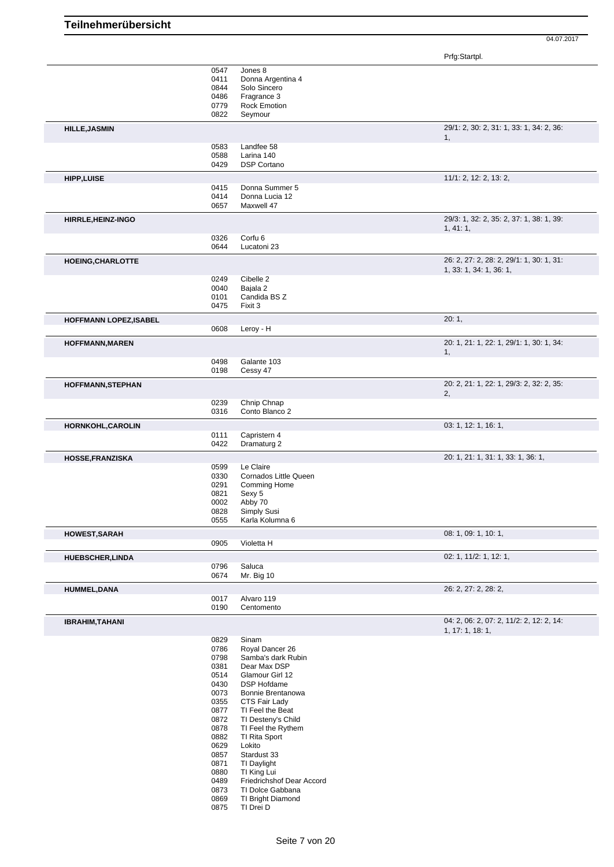|                               | 0547<br>0411 | Jones 8<br>Donna Argentina 4        |                                                              |
|-------------------------------|--------------|-------------------------------------|--------------------------------------------------------------|
|                               | 0844         | Solo Sincero                        |                                                              |
|                               | 0486<br>0779 | Fragrance 3<br>Rock Emotion         |                                                              |
|                               | 0822         | Seymour                             |                                                              |
| <b>HILLE, JASMIN</b>          |              |                                     | 29/1: 2, 30: 2, 31: 1, 33: 1, 34: 2, 36:<br>1.               |
|                               | 0583<br>0588 | Landfee 58<br>Larina 140            |                                                              |
|                               | 0429         | <b>DSP Cortano</b>                  |                                                              |
| <b>HIPP, LUISE</b>            |              |                                     | 11/1: 2, 12: 2, 13: 2,                                       |
|                               | 0415<br>0414 | Donna Summer 5<br>Donna Lucia 12    |                                                              |
|                               | 0657         | Maxwell 47                          |                                                              |
| HIRRLE, HEINZ-INGO            |              |                                     | 29/3: 1, 32: 2, 35: 2, 37: 1, 38: 1, 39:<br>1, 41: 1,        |
|                               | 0326<br>0644 | Corfu <sub>6</sub><br>Lucatoni 23   |                                                              |
| <b>HOEING, CHARLOTTE</b>      |              |                                     | 26: 2, 27: 2, 28: 2, 29/1: 1, 30: 1, 31:                     |
|                               |              |                                     | 1, 33: 1, 34: 1, 36: 1,                                      |
|                               | 0249<br>0040 | Cibelle 2<br>Bajala 2               |                                                              |
|                               | 0101         | Candida BS Z                        |                                                              |
|                               | 0475         | Fixit 3                             |                                                              |
| <b>HOFFMANN LOPEZ, ISABEL</b> | 0608         | Leroy - H                           | 20:1,                                                        |
| <b>HOFFMANN, MAREN</b>        |              |                                     | 20: 1, 21: 1, 22: 1, 29/1: 1, 30: 1, 34:                     |
|                               |              |                                     | 1,                                                           |
|                               | 0498<br>0198 | Galante 103<br>Cessy 47             |                                                              |
| <b>HOFFMANN, STEPHAN</b>      |              |                                     | 20: 2, 21: 1, 22: 1, 29/3: 2, 32: 2, 35:                     |
|                               | 0239         | Chnip Chnap                         | 2,                                                           |
|                               | 0316         | Conto Blanco 2                      |                                                              |
| HORNKOHL, CAROLIN             |              |                                     | 03: 1, 12: 1, 16: 1,                                         |
|                               | 0111<br>0422 | Capristern 4<br>Dramaturg 2         |                                                              |
| <b>HOSSE, FRANZISKA</b>       |              |                                     | 20: 1, 21: 1, 31: 1, 33: 1, 36: 1,                           |
|                               | 0599<br>0330 | Le Claire<br>Cornados Little Queen  |                                                              |
|                               | 0291         | Comming Home                        |                                                              |
|                               | 0821<br>0002 | Sexy 5<br>Abby 70                   |                                                              |
|                               | 0828<br>0555 | Simply Susi<br>Karla Kolumna 6      |                                                              |
|                               |              |                                     | 08: 1, 09: 1, 10: 1,                                         |
| <b>HOWEST, SARAH</b>          | 0905         | Violetta H                          |                                                              |
| <b>HUEBSCHER,LINDA</b>        |              |                                     | 02: 1, 11/2: 1, 12: 1,                                       |
|                               | 0796<br>0674 | Saluca<br>Mr. Big 10                |                                                              |
| <b>HUMMEL, DANA</b>           |              |                                     | 26: 2, 27: 2, 28: 2,                                         |
|                               | 0017         | Alvaro 119                          |                                                              |
|                               | 0190         | Centomento                          |                                                              |
| <b>IBRAHIM, TAHANI</b>        |              |                                     | 04: 2, 06: 2, 07: 2, 11/2: 2, 12: 2, 14:<br>1, 17: 1, 18: 1, |
|                               | 0829<br>0786 | Sinam<br>Royal Dancer 26            |                                                              |
|                               | 0798         | Samba's dark Rubin                  |                                                              |
|                               | 0381<br>0514 | Dear Max DSP<br>Glamour Girl 12     |                                                              |
|                               | 0430         | <b>DSP Hofdame</b>                  |                                                              |
|                               | 0073         | Bonnie Brentanowa                   |                                                              |
|                               | 0355<br>0877 | CTS Fair Lady<br>TI Feel the Beat   |                                                              |
|                               | 0872         | TI Desteny's Child                  |                                                              |
|                               | 0878<br>0882 | TI Feel the Rythem<br>TI Rita Sport |                                                              |
|                               | 0629         | Lokito                              |                                                              |
|                               | 0857         | Stardust 33                         |                                                              |
|                               | 0871<br>0880 | TI Daylight<br>TI King Lui          |                                                              |
|                               | 0489         | Friedrichshof Dear Accord           |                                                              |
|                               | 0873         | TI Dolce Gabbana                    |                                                              |
|                               | 0869         | TI Bright Diamond                   |                                                              |
|                               | 0875         | TI Drei D                           |                                                              |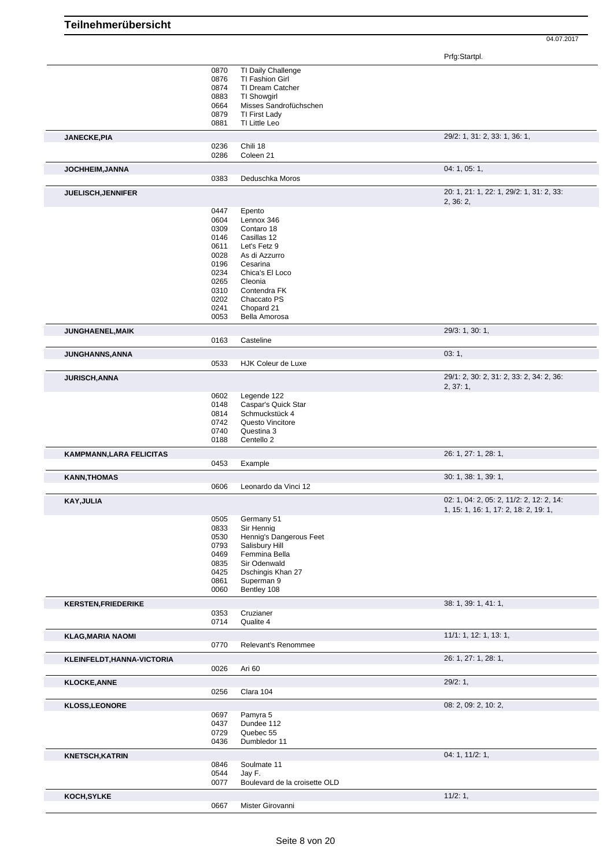|                                                                                       | 0870         | TI Daily Challenge            |                                          |
|---------------------------------------------------------------------------------------|--------------|-------------------------------|------------------------------------------|
|                                                                                       |              |                               |                                          |
|                                                                                       | 0876         | TI Fashion Girl               |                                          |
|                                                                                       | 0874         | TI Dream Catcher              |                                          |
|                                                                                       | 0883         | TI Showgirl                   |                                          |
|                                                                                       | 0664         | Misses Sandrofüchschen        |                                          |
|                                                                                       | 0879         | TI First Lady                 |                                          |
|                                                                                       | 0881         | TI Little Leo                 |                                          |
|                                                                                       |              |                               |                                          |
| <b>JANECKE, PIA</b>                                                                   |              |                               | 29/2: 1, 31: 2, 33: 1, 36: 1,            |
|                                                                                       | 0236         | Chili 18                      |                                          |
|                                                                                       | 0286         | Coleen 21                     |                                          |
| JOCHHEIM, JANNA                                                                       |              |                               | 04: 1, 05: 1,                            |
|                                                                                       | 0383         | Deduschka Moros               |                                          |
|                                                                                       |              |                               | 20: 1, 21: 1, 22: 1, 29/2: 1, 31: 2, 33: |
| <b>JUELISCH, JENNIFER</b>                                                             |              |                               | 2, 36: 2,                                |
|                                                                                       | 0447         | Epento                        |                                          |
|                                                                                       | 0604         | Lennox 346                    |                                          |
|                                                                                       | 0309         | Contaro 18                    |                                          |
|                                                                                       |              |                               |                                          |
|                                                                                       | 0146         | Casillas 12                   |                                          |
|                                                                                       | 0611         | Let's Fetz 9                  |                                          |
|                                                                                       | 0028         | As di Azzurro                 |                                          |
|                                                                                       | 0196         | Cesarina                      |                                          |
|                                                                                       | 0234         | Chica's El Loco               |                                          |
|                                                                                       |              |                               |                                          |
|                                                                                       | 0265         | Cleonia                       |                                          |
|                                                                                       | 0310         | Contendra FK                  |                                          |
|                                                                                       | 0202         | Chaccato PS                   |                                          |
|                                                                                       | 0241         | Chopard 21                    |                                          |
|                                                                                       | 0053         | Bella Amorosa                 |                                          |
|                                                                                       |              |                               | 29/3: 1, 30: 1,                          |
| JUNGHAENEL, MAIK                                                                      | 0163         | Casteline                     |                                          |
|                                                                                       |              |                               |                                          |
| JUNGHANNS, ANNA                                                                       | 0533         | HJK Coleur de Luxe            | 03:1,                                    |
|                                                                                       |              |                               |                                          |
| JURISCH, ANNA                                                                         |              |                               | 29/1: 2, 30: 2, 31: 2, 33: 2, 34: 2, 36: |
|                                                                                       |              |                               | 2, 37: 1,                                |
|                                                                                       | 0602         | Legende 122                   |                                          |
|                                                                                       | 0148         | Caspar's Quick Star           |                                          |
|                                                                                       | 0814         | Schmuckstück 4                |                                          |
|                                                                                       | 0742         | Questo Vincitore              |                                          |
|                                                                                       | 0740         | Questina 3                    |                                          |
|                                                                                       | 0188         | Centello <sub>2</sub>         |                                          |
|                                                                                       |              |                               |                                          |
| <b>KAMPMANN, LARA FELICITAS</b>                                                       | 0453         | Example                       | 26: 1, 27: 1, 28: 1,                     |
|                                                                                       |              |                               |                                          |
| <b>KANN, THOMAS</b>                                                                   |              |                               | 30: 1, 38: 1, 39: 1,                     |
|                                                                                       | 0606         | Leonardo da Vinci 12          |                                          |
|                                                                                       |              |                               |                                          |
|                                                                                       |              |                               | 02: 1, 04: 2, 05: 2, 11/2: 2, 12: 2, 14: |
|                                                                                       |              |                               | 1, 15: 1, 16: 1, 17: 2, 18: 2, 19: 1,    |
|                                                                                       | 0505         | Germany 51                    |                                          |
|                                                                                       | 0833         | Sir Hennig                    |                                          |
|                                                                                       |              | Hennig's Dangerous Feet       |                                          |
|                                                                                       | 0530         |                               |                                          |
|                                                                                       | 0793         | Salisbury Hill                |                                          |
|                                                                                       | 0469         | Femmina Bella                 |                                          |
|                                                                                       | 0835         | Sir Odenwald                  |                                          |
|                                                                                       | 0425         | Dschingis Khan 27             |                                          |
|                                                                                       | 0861         | Superman 9                    |                                          |
|                                                                                       | 0060         | Bentley 108                   |                                          |
|                                                                                       |              |                               | 38: 1, 39: 1, 41: 1,                     |
|                                                                                       | 0353         | Cruzianer                     |                                          |
|                                                                                       | 0714         | Qualite 4                     |                                          |
|                                                                                       |              |                               |                                          |
| <b>KAY, JULIA</b><br><b>KERSTEN, FRIEDERIKE</b><br><b>KLAG, MARIA NAOMI</b>           | 0770         | Relevant's Renommee           | 11/1: 1, 12: 1, 13: 1,                   |
|                                                                                       |              |                               |                                          |
|                                                                                       |              |                               | 26: 1, 27: 1, 28: 1,                     |
| KLEINFELDT, HANNA-VICTORIA                                                            | 0026         | Ari 60                        |                                          |
|                                                                                       |              |                               | 29/2:1,                                  |
|                                                                                       | 0256         | Clara 104                     |                                          |
|                                                                                       |              |                               | 08: 2, 09: 2, 10: 2,                     |
|                                                                                       | 0697         | Pamyra 5                      |                                          |
|                                                                                       | 0437         | Dundee 112                    |                                          |
|                                                                                       |              |                               |                                          |
|                                                                                       | 0729<br>0436 | Quebec 55<br>Dumbledor 11     |                                          |
|                                                                                       |              |                               |                                          |
|                                                                                       |              |                               | 04: 1, 11/2: 1,                          |
|                                                                                       | 0846         | Soulmate 11                   |                                          |
|                                                                                       | 0544         | Jay F.                        |                                          |
|                                                                                       | 0077         | Boulevard de la croisette OLD |                                          |
| <b>KLOCKE, ANNE</b><br><b>KLOSS, LEONORE</b><br><b>KNETSCH, KATRIN</b><br>KOCH, SYLKE |              |                               | 11/2:1,                                  |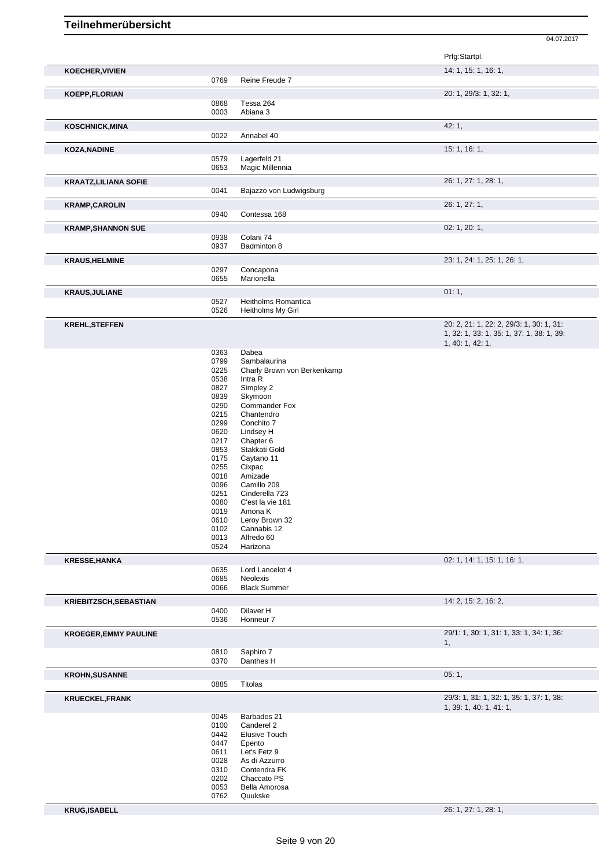|                              |                                                                      |                                                                                                                                              | Prfg:Startpl.                                                       |
|------------------------------|----------------------------------------------------------------------|----------------------------------------------------------------------------------------------------------------------------------------------|---------------------------------------------------------------------|
| <b>KOECHER, VIVIEN</b>       |                                                                      |                                                                                                                                              | 14: 1, 15: 1, 16: 1,                                                |
|                              | 0769                                                                 | Reine Freude 7                                                                                                                               |                                                                     |
| KOEPP,FLORIAN                |                                                                      |                                                                                                                                              | 20: 1, 29/3: 1, 32: 1,                                              |
|                              | 0868<br>0003                                                         | Tessa 264<br>Abiana 3                                                                                                                        |                                                                     |
|                              |                                                                      |                                                                                                                                              | 42: 1,                                                              |
| <b>KOSCHNICK, MINA</b>       | 0022                                                                 | Annabel 40                                                                                                                                   |                                                                     |
| <b>KOZA, NADINE</b>          |                                                                      |                                                                                                                                              | 15: 1, 16: 1,                                                       |
|                              | 0579                                                                 | Lagerfeld 21                                                                                                                                 |                                                                     |
|                              | 0653                                                                 | Magic Millennia                                                                                                                              |                                                                     |
| <b>KRAATZ, LILIANA SOFIE</b> |                                                                      |                                                                                                                                              | 26: 1, 27: 1, 28: 1,                                                |
|                              | 0041                                                                 | Bajazzo von Ludwigsburg                                                                                                                      |                                                                     |
| <b>KRAMP, CAROLIN</b>        |                                                                      |                                                                                                                                              | 26: 1, 27: 1,                                                       |
|                              | 0940                                                                 | Contessa 168                                                                                                                                 |                                                                     |
| <b>KRAMP, SHANNON SUE</b>    | 0938                                                                 | Colani 74                                                                                                                                    | 02: 1, 20: 1,                                                       |
|                              | 0937                                                                 | Badminton 8                                                                                                                                  |                                                                     |
| <b>KRAUS, HELMINE</b>        |                                                                      |                                                                                                                                              | 23: 1, 24: 1, 25: 1, 26: 1,                                         |
|                              | 0297                                                                 | Concapona                                                                                                                                    |                                                                     |
|                              | 0655                                                                 | Marionella                                                                                                                                   |                                                                     |
| <b>KRAUS, JULIANE</b>        |                                                                      |                                                                                                                                              | 01:1,                                                               |
|                              | 0527<br>0526                                                         | Heitholms Romantica<br>Heitholms My Girl                                                                                                     |                                                                     |
| <b>KREHL, STEFFEN</b>        |                                                                      |                                                                                                                                              | 20: 2, 21: 1, 22: 2, 29/3: 1, 30: 1, 31:                            |
|                              |                                                                      |                                                                                                                                              | 1, 32: 1, 33: 1, 35: 1, 37: 1, 38: 1, 39:<br>1, 40: 1, 42: 1,       |
|                              | 0363                                                                 | Dabea                                                                                                                                        |                                                                     |
|                              | 0799                                                                 | Sambalaurina                                                                                                                                 |                                                                     |
|                              | 0225<br>0538                                                         | Charly Brown von Berkenkamp<br>Intra R                                                                                                       |                                                                     |
|                              | 0827                                                                 | Simpley 2                                                                                                                                    |                                                                     |
|                              | 0839                                                                 | Skymoon                                                                                                                                      |                                                                     |
|                              | 0290<br>0215                                                         | <b>Commander Fox</b><br>Chantendro                                                                                                           |                                                                     |
|                              | 0299                                                                 | Conchito 7                                                                                                                                   |                                                                     |
|                              | 0620                                                                 | Lindsey H                                                                                                                                    |                                                                     |
|                              | 0217<br>0853                                                         | Chapter 6<br>Stakkati Gold                                                                                                                   |                                                                     |
|                              | 0175                                                                 | Caytano 11                                                                                                                                   |                                                                     |
|                              | 0255                                                                 | Cixpac                                                                                                                                       |                                                                     |
|                              | 0018                                                                 | Amizade                                                                                                                                      |                                                                     |
|                              | 0096<br>0251                                                         | Camillo 209<br>Cinderella 723                                                                                                                |                                                                     |
|                              | 0080                                                                 | C'est la vie 181                                                                                                                             |                                                                     |
|                              | 0019                                                                 | Amona K                                                                                                                                      |                                                                     |
|                              | 0610<br>0102                                                         | Leroy Brown 32<br>Cannabis 12                                                                                                                |                                                                     |
|                              | 0013                                                                 | Alfredo 60                                                                                                                                   |                                                                     |
|                              | 0524                                                                 | Harizona                                                                                                                                     |                                                                     |
| <b>KRESSE, HANKA</b>         |                                                                      |                                                                                                                                              | 02: 1, 14: 1, 15: 1, 16: 1,                                         |
|                              | 0635<br>0685                                                         | Lord Lancelot 4<br>Neolexis                                                                                                                  |                                                                     |
|                              | 0066                                                                 | <b>Black Summer</b>                                                                                                                          |                                                                     |
| KRIEBITZSCH, SEBASTIAN       |                                                                      |                                                                                                                                              | 14: 2, 15: 2, 16: 2,                                                |
|                              | 0400                                                                 | Dilaver H                                                                                                                                    |                                                                     |
|                              | 0536                                                                 | Honneur 7                                                                                                                                    |                                                                     |
| <b>KROEGER, EMMY PAULINE</b> |                                                                      |                                                                                                                                              | 29/1: 1, 30: 1, 31: 1, 33: 1, 34: 1, 36:<br>1,                      |
|                              | 0810<br>0370                                                         | Saphiro 7<br>Danthes H                                                                                                                       |                                                                     |
| <b>KROHN, SUSANNE</b>        |                                                                      |                                                                                                                                              | 05:1,                                                               |
|                              | 0885                                                                 | Titolas                                                                                                                                      |                                                                     |
| <b>KRUECKEL, FRANK</b>       |                                                                      |                                                                                                                                              | 29/3: 1, 31: 1, 32: 1, 35: 1, 37: 1, 38:<br>1, 39: 1, 40: 1, 41: 1, |
|                              | 0045<br>0100<br>0442<br>0447<br>0611<br>0028<br>0310<br>0202<br>0053 | Barbados 21<br>Canderel 2<br><b>Elusive Touch</b><br>Epento<br>Let's Fetz 9<br>As di Azzurro<br>Contendra FK<br>Chaccato PS<br>Bella Amorosa |                                                                     |
|                              | 0762                                                                 | Quukske                                                                                                                                      |                                                                     |
| <b>KRUG,ISABELL</b>          |                                                                      |                                                                                                                                              | 26: 1, 27: 1, 28: 1,                                                |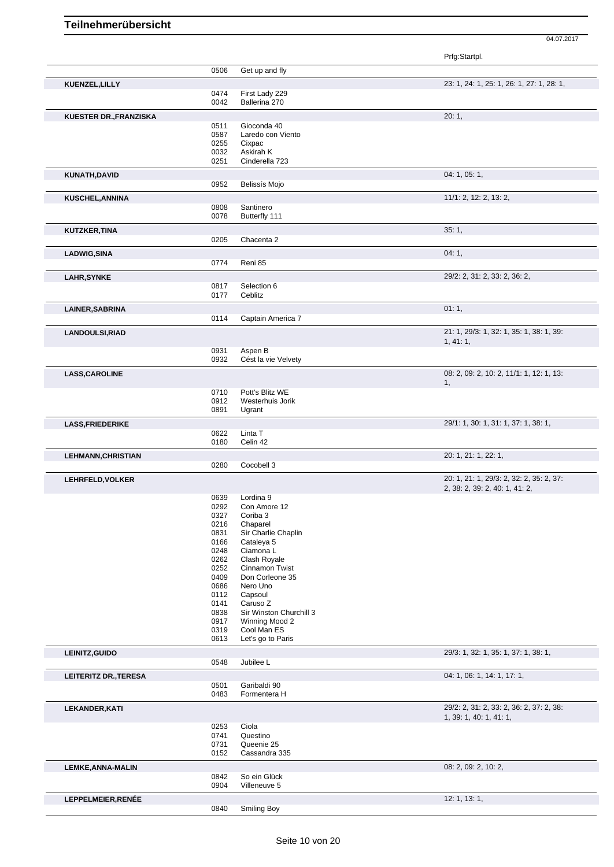|                              |              |                                   | Prfg:Startpl.                                                              |
|------------------------------|--------------|-----------------------------------|----------------------------------------------------------------------------|
|                              | 0506         | Get up and fly                    |                                                                            |
| KUENZEL, LILLY               |              |                                   | 23: 1, 24: 1, 25: 1, 26: 1, 27: 1, 28: 1,                                  |
|                              | 0474         | First Lady 229                    |                                                                            |
|                              | 0042         | Ballerina 270                     |                                                                            |
| KUESTER DR., FRANZISKA       |              |                                   | 20:1,                                                                      |
|                              | 0511         | Gioconda 40                       |                                                                            |
|                              | 0587<br>0255 | Laredo con Viento<br>Cixpac       |                                                                            |
|                              | 0032         | Askirah K                         |                                                                            |
|                              | 0251         | Cinderella 723                    |                                                                            |
| KUNATH, DAVID                |              |                                   | 04: 1, 05: 1,                                                              |
|                              | 0952         | Belissís Mojo                     |                                                                            |
| KUSCHEL, ANNINA              |              |                                   | 11/1: 2, 12: 2, 13: 2,                                                     |
|                              | 0808         | Santinero                         |                                                                            |
|                              | 0078         | Butterfly 111                     |                                                                            |
| KUTZKER, TINA                |              |                                   | 35:1,                                                                      |
|                              | 0205         | Chacenta 2                        |                                                                            |
| <b>LADWIG, SINA</b>          |              |                                   | 04:1,                                                                      |
|                              | 0774         | Reni 85                           |                                                                            |
| <b>LAHR, SYNKE</b>           |              |                                   | 29/2: 2, 31: 2, 33: 2, 36: 2,                                              |
|                              | 0817<br>0177 | Selection 6<br>Ceblitz            |                                                                            |
|                              |              |                                   |                                                                            |
| LAINER, SABRINA              | 0114         | Captain America 7                 | 01:1,                                                                      |
|                              |              |                                   | 21: 1, 29/3: 1, 32: 1, 35: 1, 38: 1, 39:                                   |
| <b>LANDOULSI,RIAD</b>        |              |                                   | 1, 41: 1,                                                                  |
|                              | 0931         | Aspen B                           |                                                                            |
|                              | 0932         | Cést la vie Velvety               |                                                                            |
| <b>LASS, CAROLINE</b>        |              |                                   | 08: 2, 09: 2, 10: 2, 11/1: 1, 12: 1, 13:                                   |
|                              | 0710         | Pott's Blitz WE                   | 1,                                                                         |
|                              | 0912         | Westerhuis Jorik                  |                                                                            |
|                              | 0891         | Ugrant                            |                                                                            |
| <b>LASS, FRIEDERIKE</b>      |              |                                   | 29/1: 1, 30: 1, 31: 1, 37: 1, 38: 1,                                       |
|                              | 0622         | Linta T                           |                                                                            |
|                              | 0180         | Celin 42                          |                                                                            |
| <b>LEHMANN, CHRISTIAN</b>    | 0280         | Cocobell 3                        | 20: 1, 21: 1, 22: 1,                                                       |
|                              |              |                                   |                                                                            |
| LEHRFELD, VOLKER             |              |                                   | 20: 1, 21: 1, 29/3: 2, 32: 2, 35: 2, 37:<br>2, 38: 2, 39: 2, 40: 1, 41: 2, |
|                              | 0639         | Lordina 9                         |                                                                            |
|                              | 0292         | Con Amore 12                      |                                                                            |
|                              | 0327         | Coriba 3                          |                                                                            |
|                              | 0216         | Chaparel                          |                                                                            |
|                              | 0831<br>0166 | Sir Charlie Chaplin<br>Cataleya 5 |                                                                            |
|                              | 0248         | Ciamona L                         |                                                                            |
|                              | 0262         | Clash Royale                      |                                                                            |
|                              | 0252         | Cinnamon Twist                    |                                                                            |
|                              | 0409<br>0686 | Don Corleone 35<br>Nero Uno       |                                                                            |
|                              | 0112         | Capsoul                           |                                                                            |
|                              | 0141         | Caruso Z                          |                                                                            |
|                              | 0838         | Sir Winston Churchill 3           |                                                                            |
|                              | 0917         | Winning Mood 2                    |                                                                            |
|                              | 0319<br>0613 | Cool Man ES<br>Let's go to Paris  |                                                                            |
|                              |              |                                   | 29/3: 1, 32: 1, 35: 1, 37: 1, 38: 1,                                       |
| LEINITZ, GUIDO               | 0548         | Jubilee L                         |                                                                            |
| <b>LEITERITZ DR., TERESA</b> |              |                                   | 04: 1, 06: 1, 14: 1, 17: 1,                                                |
|                              | 0501         | Garibaldi 90                      |                                                                            |
|                              | 0483         | Formentera H                      |                                                                            |
| LEKANDER, KATI               |              |                                   | 29/2: 2, 31: 2, 33: 2, 36: 2, 37: 2, 38:                                   |
|                              |              |                                   | 1, 39: 1, 40: 1, 41: 1,                                                    |
|                              | 0253<br>0741 | Ciola<br>Questino                 |                                                                            |
|                              | 0731         | Queenie 25                        |                                                                            |
|                              | 0152         | Cassandra 335                     |                                                                            |
| <b>LEMKE, ANNA-MALIN</b>     |              |                                   | 08: 2, 09: 2, 10: 2,                                                       |
|                              | 0842         | So ein Glück                      |                                                                            |
|                              | 0904         | Villeneuve 5                      |                                                                            |
| LEPPELMEIER, RENÉE           |              |                                   | 12: 1, 13: 1,                                                              |
|                              | 0840         | Smiling Boy                       |                                                                            |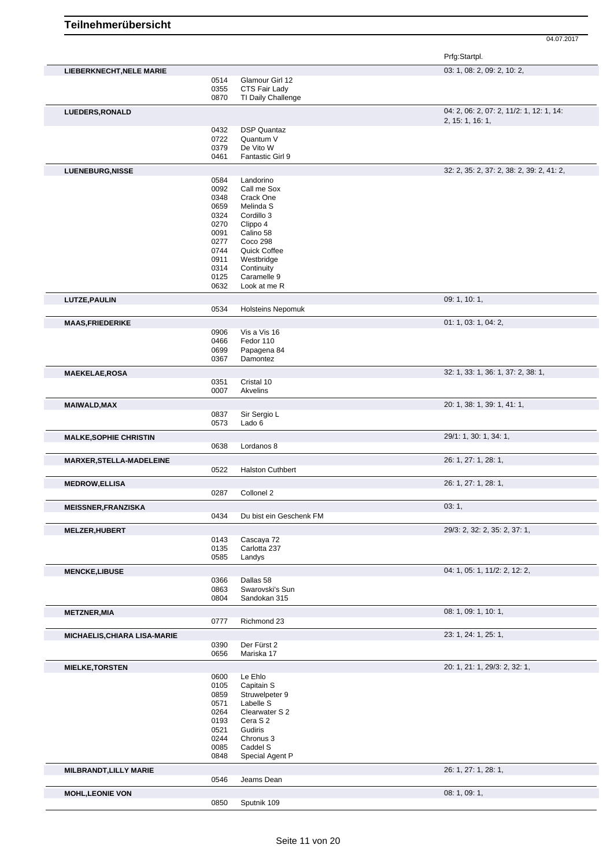|                                 |              |                              | Prfg:Startpl.                                                |
|---------------------------------|--------------|------------------------------|--------------------------------------------------------------|
| <b>LIEBERKNECHT, NELE MARIE</b> |              |                              | 03: 1, 08: 2, 09: 2, 10: 2,                                  |
|                                 | 0514         | Glamour Girl 12              |                                                              |
|                                 | 0355         | CTS Fair Lady                |                                                              |
|                                 | 0870         | TI Daily Challenge           |                                                              |
| LUEDERS, RONALD                 |              |                              | 04: 2, 06: 2, 07: 2, 11/2: 1, 12: 1, 14:<br>2, 15: 1, 16: 1, |
|                                 | 0432         | <b>DSP Quantaz</b>           |                                                              |
|                                 | 0722         | Quantum V                    |                                                              |
|                                 | 0379         | De Vito W                    |                                                              |
|                                 | 0461         | Fantastic Girl 9             |                                                              |
| LUENEBURG, NISSE                |              |                              | 32: 2, 35: 2, 37: 2, 38: 2, 39: 2, 41: 2,                    |
|                                 | 0584         | Landorino                    |                                                              |
|                                 | 0092<br>0348 | Call me Sox<br>Crack One     |                                                              |
|                                 | 0659         | Melinda S                    |                                                              |
|                                 | 0324         | Cordillo 3                   |                                                              |
|                                 | 0270         | Clippo 4                     |                                                              |
|                                 | 0091         | Calino 58                    |                                                              |
|                                 | 0277         | Coco 298                     |                                                              |
|                                 | 0744         | Quick Coffee                 |                                                              |
|                                 | 0911<br>0314 | Westbridge<br>Continuity     |                                                              |
|                                 | 0125         | Caramelle 9                  |                                                              |
|                                 | 0632         | Look at me R                 |                                                              |
| LUTZE, PAULIN                   |              |                              | 09: 1, 10: 1,                                                |
|                                 | 0534         | <b>Holsteins Nepomuk</b>     |                                                              |
| <b>MAAS, FRIEDERIKE</b>         |              |                              | 01: 1, 03: 1, 04: 2,                                         |
|                                 | 0906         | Vis a Vis 16                 |                                                              |
|                                 | 0466         | Fedor 110                    |                                                              |
|                                 | 0699         | Papagena 84                  |                                                              |
|                                 | 0367         | Damontez                     |                                                              |
| <b>MAEKELAE,ROSA</b>            |              |                              | 32: 1, 33: 1, 36: 1, 37: 2, 38: 1,                           |
|                                 | 0351         | Cristal 10                   |                                                              |
|                                 | 0007         | Akvelins                     |                                                              |
| <b>MAIWALD, MAX</b>             |              |                              | 20: 1, 38: 1, 39: 1, 41: 1,                                  |
|                                 | 0837         | Sir Sergio L                 |                                                              |
|                                 | 0573         | Lado 6                       |                                                              |
| <b>MALKE, SOPHIE CHRISTIN</b>   |              |                              | 29/1: 1, 30: 1, 34: 1,                                       |
|                                 | 0638         | Lordanos 8                   |                                                              |
| <b>MARXER, STELLA-MADELEINE</b> |              |                              | 26: 1, 27: 1, 28: 1,                                         |
|                                 | 0522         | <b>Halston Cuthbert</b>      |                                                              |
|                                 |              |                              | 26: 1, 27: 1, 28: 1,                                         |
| <b>MEDROW, ELLISA</b>           | 0287         | Collonel 2                   |                                                              |
|                                 |              |                              |                                                              |
| <b>MEISSNER, FRANZISKA</b>      | 0434         | Du bist ein Geschenk FM      | 03:1,                                                        |
|                                 |              |                              |                                                              |
| <b>MELZER, HUBERT</b>           |              |                              | 29/3: 2, 32: 2, 35: 2, 37: 1,                                |
|                                 | 0143         | Cascaya 72                   |                                                              |
|                                 | 0135<br>0585 | Carlotta 237<br>Landys       |                                                              |
|                                 |              |                              |                                                              |
| <b>MENCKE,LIBUSE</b>            |              |                              | 04: 1, 05: 1, 11/2: 2, 12: 2,                                |
|                                 | 0366<br>0863 | Dallas 58<br>Swarovski's Sun |                                                              |
|                                 | 0804         | Sandokan 315                 |                                                              |
|                                 |              |                              | 08: 1, 09: 1, 10: 1,                                         |
| <b>METZNER, MIA</b>             | 0777         | Richmond 23                  |                                                              |
|                                 |              |                              |                                                              |
| MICHAELIS, CHIARA LISA-MARIE    | 0390         | Der Fürst 2                  | 23: 1, 24: 1, 25: 1,                                         |
|                                 | 0656         | Mariska 17                   |                                                              |
|                                 |              |                              |                                                              |
| <b>MIELKE, TORSTEN</b>          | 0600         | Le Ehlo                      | 20: 1, 21: 1, 29/3: 2, 32: 1,                                |
|                                 | 0105         | Capitain S                   |                                                              |
|                                 | 0859         | Struwelpeter 9               |                                                              |
|                                 | 0571         | Labelle S                    |                                                              |
|                                 | 0264         | Clearwater S 2               |                                                              |
|                                 | 0193         | Cera S 2                     |                                                              |
|                                 | 0521         | Gudiris                      |                                                              |
|                                 | 0244<br>0085 | Chronus 3<br>Caddel S        |                                                              |
|                                 | 0848         | Special Agent P              |                                                              |
|                                 |              |                              |                                                              |
| MILBRANDT, LILLY MARIE          | 0546         | Jeams Dean                   | 26: 1, 27: 1, 28: 1,                                         |
|                                 |              |                              |                                                              |
| <b>MOHL, LEONIE VON</b>         |              |                              | 08: 1, 09: 1,                                                |
|                                 | 0850         | Sputnik 109                  |                                                              |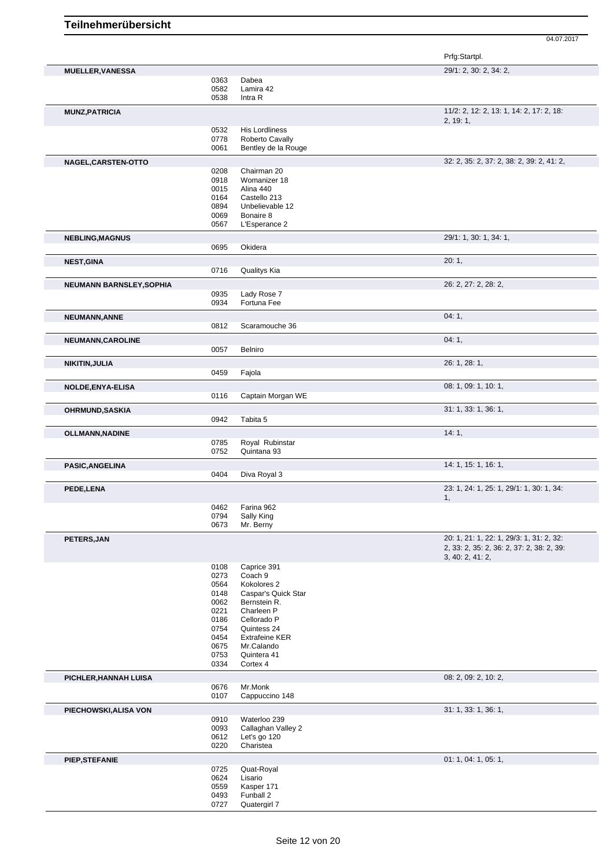|                          |              |                                | Prfg:Startpl.                                        |
|--------------------------|--------------|--------------------------------|------------------------------------------------------|
| <b>MUELLER, VANESSA</b>  |              |                                | 29/1: 2, 30: 2, 34: 2,                               |
|                          | 0363         | Dabea                          |                                                      |
|                          | 0582         | Lamira 42                      |                                                      |
|                          | 0538         | Intra R                        |                                                      |
| <b>MUNZ, PATRICIA</b>    |              |                                | 11/2: 2, 12: 2, 13: 1, 14: 2, 17: 2, 18:<br>2, 19:1, |
|                          | 0532         | <b>His Lordliness</b>          |                                                      |
|                          | 0778         | Roberto Cavally                |                                                      |
|                          | 0061         | Bentley de la Rouge            |                                                      |
| NAGEL, CARSTEN-OTTO      |              |                                | 32: 2, 35: 2, 37: 2, 38: 2, 39: 2, 41: 2,            |
|                          | 0208         | Chairman 20                    |                                                      |
|                          | 0918         | Womanizer 18                   |                                                      |
|                          | 0015         | Alina 440                      |                                                      |
|                          | 0164         | Castello 213                   |                                                      |
|                          | 0894         | Unbelievable 12                |                                                      |
|                          | 0069         | Bonaire 8                      |                                                      |
|                          | 0567         | L'Esperance 2                  |                                                      |
|                          |              |                                | 29/1: 1, 30: 1, 34: 1,                               |
| <b>NEBLING, MAGNUS</b>   | 0695         | Okidera                        |                                                      |
| <b>NEST, GINA</b>        |              |                                | 20:1,                                                |
|                          | 0716         | Qualitys Kia                   |                                                      |
| NEUMANN BARNSLEY, SOPHIA |              |                                | 26: 2, 27: 2, 28: 2,                                 |
|                          | 0935         | Lady Rose 7                    |                                                      |
|                          | 0934         | Fortuna Fee                    |                                                      |
| NEUMANN, ANNE            |              |                                | 04:1,                                                |
|                          | 0812         | Scaramouche 36                 |                                                      |
| NEUMANN, CAROLINE        |              |                                | 04:1,                                                |
|                          | 0057         | Belniro                        |                                                      |
| NIKITIN, JULIA           |              |                                | 26: 1, 28: 1,                                        |
|                          | 0459         | Fajola                         |                                                      |
| NOLDE, ENYA-ELISA        |              |                                | 08: 1, 09: 1, 10: 1,                                 |
|                          | 0116         | Captain Morgan WE              |                                                      |
| <b>OHRMUND, SASKIA</b>   |              |                                | 31: 1, 33: 1, 36: 1,                                 |
|                          | 0942         | Tabita 5                       |                                                      |
|                          |              |                                | 14:1,                                                |
| <b>OLLMANN, NADINE</b>   |              |                                |                                                      |
|                          | 0785<br>0752 | Royal Rubinstar<br>Quintana 93 |                                                      |
|                          |              |                                |                                                      |
| PASIC, ANGELINA          |              |                                | 14: 1, 15: 1, 16: 1,                                 |
|                          | 0404         | Diva Royal 3                   |                                                      |
| PEDE,LENA                |              |                                | 23: 1, 24: 1, 25: 1, 29/1: 1, 30: 1, 34:             |
|                          | 0462         | Farina 962                     | 1,                                                   |
|                          | 0794         | Sally King                     |                                                      |
|                          | 0673         | Mr. Berny                      |                                                      |
| PETERS, JAN              |              |                                | 20: 1, 21: 1, 22: 1, 29/3: 1, 31: 2, 32:             |
|                          |              |                                | 2, 33: 2, 35: 2, 36: 2, 37: 2, 38: 2, 39:            |
|                          |              |                                | 3, 40: 2, 41: 2,                                     |
|                          | 0108<br>0273 | Caprice 391<br>Coach 9         |                                                      |
|                          | 0564         | Kokolores <sub>2</sub>         |                                                      |
|                          | 0148         | Caspar's Quick Star            |                                                      |
|                          | 0062         | Bernstein R.                   |                                                      |
|                          | 0221         | Charleen P                     |                                                      |
|                          | 0186         | Cellorado P                    |                                                      |
|                          | 0754         | Quintess 24                    |                                                      |
|                          | 0454         | <b>Extrafeine KER</b>          |                                                      |
|                          | 0675         | Mr.Calando                     |                                                      |
|                          | 0753         | Quintera 41                    |                                                      |
|                          | 0334         | Cortex 4                       |                                                      |
| PICHLER, HANNAH LUISA    |              |                                | 08: 2, 09: 2, 10: 2,                                 |
|                          | 0676         | Mr.Monk                        |                                                      |
|                          | 0107         | Cappuccino 148                 |                                                      |
| PIECHOWSKI, ALISA VON    |              |                                | 31: 1, 33: 1, 36: 1,                                 |
|                          | 0910         | Waterloo 239                   |                                                      |
|                          | 0093         | Callaghan Valley 2             |                                                      |
|                          | 0612<br>0220 | Let's go 120<br>Charistea      |                                                      |
|                          |              |                                | 01: 1, 04: 1, 05: 1,                                 |
| PIEP, STEFANIE           | 0725         | Quat-Royal                     |                                                      |
|                          | 0624         | Lisario                        |                                                      |
|                          | 0559         | Kasper 171                     |                                                      |
|                          | 0493         | Funball 2                      |                                                      |
|                          | 0727         | Quatergirl 7                   |                                                      |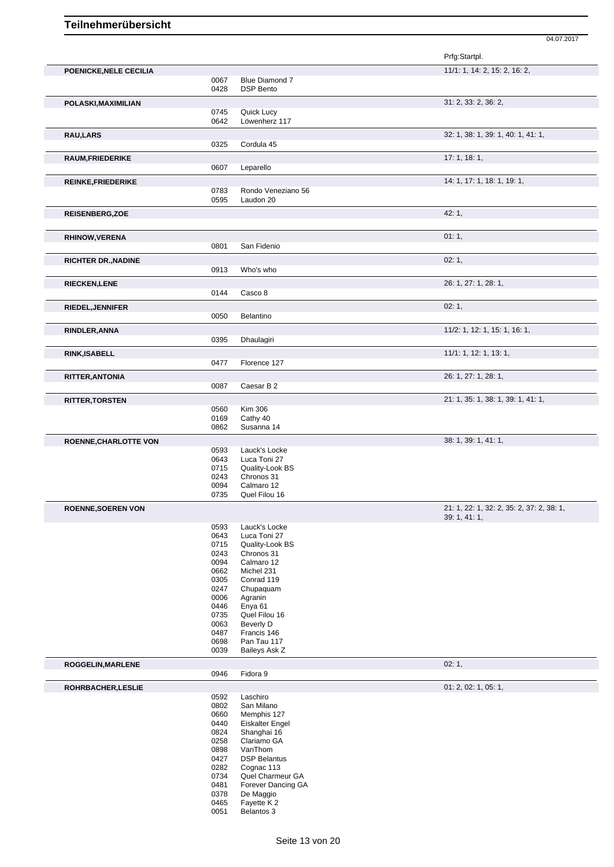|                              |              |                                        | Prfg:Startpl.                             |
|------------------------------|--------------|----------------------------------------|-------------------------------------------|
| POENICKE, NELE CECILIA       |              |                                        | 11/1: 1, 14: 2, 15: 2, 16: 2,             |
|                              | 0067<br>0428 | Blue Diamond 7<br><b>DSP Bento</b>     |                                           |
| POLASKI, MAXIMILIAN          |              |                                        | 31: 2, 33: 2, 36: 2,                      |
|                              | 0745         | Quick Lucy                             |                                           |
|                              | 0642         | Löwenherz 117                          |                                           |
| <b>RAU,LARS</b>              |              |                                        | 32: 1, 38: 1, 39: 1, 40: 1, 41: 1,        |
|                              | 0325         | Cordula 45                             |                                           |
| <b>RAUM, FRIEDERIKE</b>      |              |                                        | 17:1, 18:1,                               |
|                              | 0607         | Leparello                              |                                           |
| <b>REINKE, FRIEDERIKE</b>    |              |                                        | 14: 1, 17: 1, 18: 1, 19: 1,               |
|                              | 0783         | Rondo Veneziano 56                     |                                           |
|                              | 0595         | Laudon 20                              |                                           |
| <b>REISENBERG, ZOE</b>       |              |                                        | 42:1,                                     |
|                              |              |                                        |                                           |
| <b>RHINOW, VERENA</b>        |              |                                        | 01:1,                                     |
|                              | 0801         | San Fidenio                            |                                           |
| <b>RICHTER DR., NADINE</b>   |              |                                        | 02:1,                                     |
|                              | 0913         | Who's who                              |                                           |
|                              |              |                                        | 26: 1, 27: 1, 28: 1,                      |
| <b>RIECKEN,LENE</b>          | 0144         | Casco 8                                |                                           |
|                              |              |                                        |                                           |
| RIEDEL, JENNIFER             | 0050         | Belantino                              | 02:1,                                     |
|                              |              |                                        |                                           |
| RINDLER, ANNA                |              |                                        | 11/2: 1, 12: 1, 15: 1, 16: 1,             |
|                              | 0395         | Dhaulagiri                             |                                           |
| <b>RINK, ISABELL</b>         |              |                                        | 11/1: 1, 12: 1, 13: 1,                    |
|                              | 0477         | Florence 127                           |                                           |
| RITTER, ANTONIA              |              |                                        | 26: 1, 27: 1, 28: 1,                      |
|                              | 0087         | Caesar B 2                             |                                           |
| <b>RITTER, TORSTEN</b>       |              |                                        | 21: 1, 35: 1, 38: 1, 39: 1, 41: 1,        |
|                              | 0560         | <b>Kim 306</b>                         |                                           |
|                              | 0169         | Cathy 40                               |                                           |
|                              | 0862         | Susanna 14                             |                                           |
| <b>ROENNE, CHARLOTTE VON</b> |              |                                        | 38: 1, 39: 1, 41: 1,                      |
|                              | 0593         | Lauck's Locke                          |                                           |
|                              | 0643<br>0715 | Luca Toni 27<br>Quality-Look BS        |                                           |
|                              | 0243         | Chronos 31                             |                                           |
|                              | 0094         | Calmaro 12                             |                                           |
|                              | 0735         | Quel Filou 16                          |                                           |
| <b>ROENNE, SOEREN VON</b>    |              |                                        | 21: 1, 22: 1, 32: 2, 35: 2, 37: 2, 38: 1, |
|                              | 0593         | Lauck's Locke                          | 39:1,41:1,                                |
|                              | 0643         | Luca Toni 27                           |                                           |
|                              | 0715         | Quality-Look BS                        |                                           |
|                              | 0243         | Chronos 31                             |                                           |
|                              | 0094<br>0662 | Calmaro 12<br>Michel 231               |                                           |
|                              | 0305         | Conrad 119                             |                                           |
|                              | 0247         | Chupaquam                              |                                           |
|                              | 0006         | Agranin                                |                                           |
|                              | 0446         | Enya 61                                |                                           |
|                              | 0735<br>0063 | Quel Filou 16<br>Beverly D             |                                           |
|                              | 0487         | Francis 146                            |                                           |
|                              | 0698         | Pan Tau 117                            |                                           |
|                              | 0039         | Baileys Ask Z                          |                                           |
| ROGGELIN, MARLENE            |              |                                        | 02:1,                                     |
|                              | 0946         | Fidora 9                               |                                           |
| ROHRBACHER, LESLIE           |              |                                        | 01: 2, 02: 1, 05: 1,                      |
|                              | 0592         | Laschiro                               |                                           |
|                              | 0802         | San Milano                             |                                           |
|                              | 0660<br>0440 | Memphis 127<br><b>Eiskalter Engel</b>  |                                           |
|                              | 0824         | Shanghai 16                            |                                           |
|                              | 0258         | Clariamo GA                            |                                           |
|                              | 0898         | VanThom                                |                                           |
|                              |              |                                        |                                           |
|                              | 0427         | <b>DSP Belantus</b>                    |                                           |
|                              | 0282         | Cognac 113                             |                                           |
|                              | 0734<br>0481 | Quel Charmeur GA<br>Forever Dancing GA |                                           |
|                              | 0378<br>0465 | De Maggio<br>Fayette K 2               |                                           |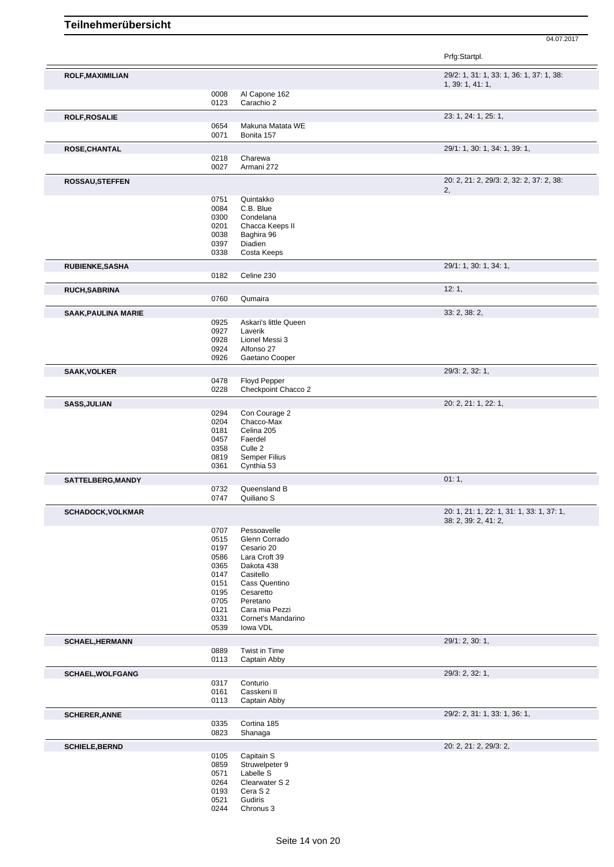|                            |              |                                       | Prfg:Startpl.                             |
|----------------------------|--------------|---------------------------------------|-------------------------------------------|
| <b>ROLF, MAXIMILIAN</b>    |              |                                       | 29/2: 1, 31: 1, 33: 1, 36: 1, 37: 1, 38:  |
|                            | 0008         | Al Capone 162                         | 1, 39: 1, 41: 1,                          |
|                            | 0123         | Carachio 2                            |                                           |
| <b>ROLF, ROSALIE</b>       | 0654         | Makuna Matata WE                      | 23: 1, 24: 1, 25: 1,                      |
|                            | 0071         | Bonita 157                            |                                           |
| <b>ROSE, CHANTAL</b>       |              |                                       | 29/1: 1, 30: 1, 34: 1, 39: 1,             |
|                            | 0218<br>0027 | Charewa<br>Armani 272                 |                                           |
| <b>ROSSAU, STEFFEN</b>     |              |                                       | 20: 2, 21: 2, 29/3: 2, 32: 2, 37: 2, 38:  |
|                            |              | Quintakko                             | 2,                                        |
|                            | 0751<br>0084 | C.B. Blue                             |                                           |
|                            | 0300         | Condelana                             |                                           |
|                            | 0201<br>0038 | Chacca Keeps II<br>Baghira 96         |                                           |
|                            | 0397         | Diadien                               |                                           |
|                            | 0338         | Costa Keeps                           |                                           |
| RUBIENKE, SASHA            | 0182         | Celine 230                            | 29/1: 1, 30: 1, 34: 1,                    |
| <b>RUCH, SABRINA</b>       |              |                                       | 12:1,                                     |
|                            | 0760         | Qumaira                               |                                           |
| <b>SAAK, PAULINA MARIE</b> |              |                                       | 33: 2, 38: 2,                             |
|                            | 0925<br>0927 | Askari's little Queen<br>Laverik      |                                           |
|                            | 0928         | Lionel Messi 3                        |                                           |
|                            | 0924         | Alfonso 27                            |                                           |
|                            | 0926         | Gaetano Cooper                        |                                           |
| <b>SAAK, VOLKER</b>        | 0478         | Floyd Pepper                          | 29/3: 2, 32: 1,                           |
|                            | 0228         | Checkpoint Chacco 2                   |                                           |
| <b>SASS, JULIAN</b>        |              |                                       | 20: 2, 21: 1, 22: 1,                      |
|                            | 0294         | Con Courage 2                         |                                           |
|                            | 0204<br>0181 | Chacco-Max<br>Celina 205              |                                           |
|                            | 0457         | Faerdel                               |                                           |
|                            | 0358         | Culle <sub>2</sub>                    |                                           |
|                            | 0819<br>0361 | Semper Filius<br>Cynthia 53           |                                           |
| SATTELBERG, MANDY          |              |                                       | 01:1,                                     |
|                            | 0732<br>0747 | Queensland B<br>Quiliano <sub>S</sub> |                                           |
| <b>SCHADOCK, VOLKMAR</b>   |              |                                       | 20: 1, 21: 1, 22: 1, 31: 1, 33: 1, 37: 1, |
|                            |              |                                       | 38: 2, 39: 2, 41: 2,                      |
|                            | 0707         | Pessoavelle                           |                                           |
|                            | 0515<br>0197 | Glenn Corrado<br>Cesario 20           |                                           |
|                            | 0586         | Lara Croft 39                         |                                           |
|                            | 0365         | Dakota 438                            |                                           |
|                            | 0147<br>0151 | Casitello<br>Cass Quentino            |                                           |
|                            | 0195         | Cesaretto                             |                                           |
|                            | 0705         | Peretano                              |                                           |
|                            | 0121<br>0331 | Cara mia Pezzi<br>Cornet's Mandarino  |                                           |
|                            | 0539         | lowa VDL                              |                                           |
| <b>SCHAEL, HERMANN</b>     |              |                                       | 29/1: 2, 30: 1,                           |
|                            | 0889<br>0113 | Twist in Time<br>Captain Abby         |                                           |
| SCHAEL, WOLFGANG           |              |                                       | 29/3: 2, 32: 1,                           |
|                            | 0317         | Conturio                              |                                           |
|                            | 0161<br>0113 | Casskeni II<br>Captain Abby           |                                           |
| <b>SCHERER, ANNE</b>       |              |                                       | 29/2: 2, 31: 1, 33: 1, 36: 1,             |
|                            | 0335         | Cortina 185                           |                                           |
|                            | 0823         | Shanaga                               |                                           |
| <b>SCHIELE, BERND</b>      | 0105         | Capitain S                            | 20: 2, 21: 2, 29/3: 2,                    |
|                            | 0859         | Struwelpeter 9                        |                                           |
|                            | 0571<br>0264 | Labelle S<br>Clearwater S 2           |                                           |
|                            | 0193         | Cera S <sub>2</sub>                   |                                           |
|                            | 0521         | Gudiris                               |                                           |
|                            | 0244         | Chronus 3                             |                                           |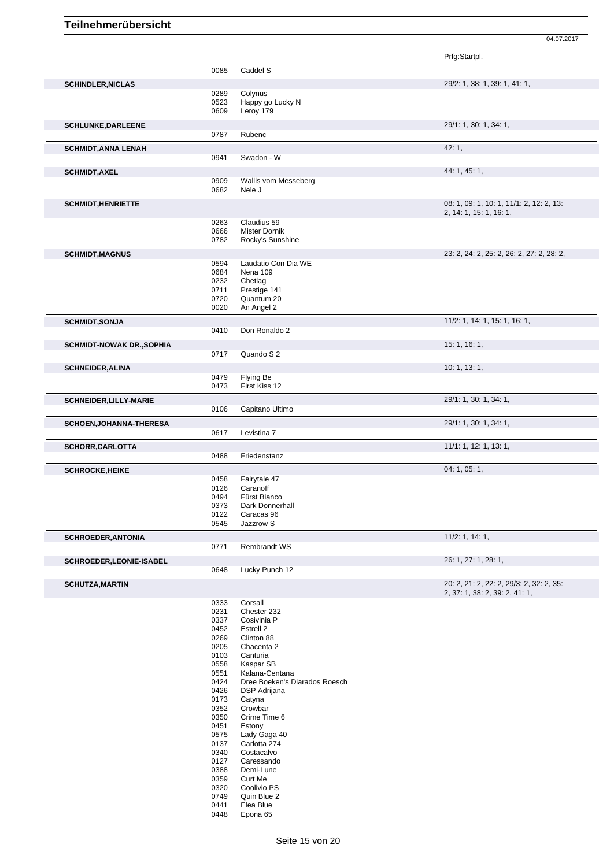|                                  |              |                               | Prfg:Startpl.                             |
|----------------------------------|--------------|-------------------------------|-------------------------------------------|
|                                  | 0085         | Caddel S                      |                                           |
| <b>SCHINDLER, NICLAS</b>         |              |                               | 29/2: 1, 38: 1, 39: 1, 41: 1,             |
|                                  | 0289         | Colynus                       |                                           |
|                                  | 0523         | Happy go Lucky N              |                                           |
|                                  | 0609         | Leroy 179                     |                                           |
| <b>SCHLUNKE, DARLEENE</b>        |              |                               | 29/1: 1, 30: 1, 34: 1,                    |
|                                  | 0787         | Rubenc                        |                                           |
| <b>SCHMIDT, ANNA LENAH</b>       |              |                               | 42:1,                                     |
|                                  | 0941         | Swadon - W                    |                                           |
| <b>SCHMIDT, AXEL</b>             |              |                               | 44: 1, 45: 1,                             |
|                                  | 0909         | Wallis vom Messeberg          |                                           |
|                                  | 0682         | Nele J                        |                                           |
| <b>SCHMIDT, HENRIETTE</b>        |              |                               | 08: 1, 09: 1, 10: 1, 11/1: 2, 12: 2, 13:  |
|                                  | 0263         | Claudius 59                   | 2, 14: 1, 15: 1, 16: 1,                   |
|                                  | 0666         | <b>Mister Dornik</b>          |                                           |
|                                  | 0782         | Rocky's Sunshine              |                                           |
| <b>SCHMIDT, MAGNUS</b>           |              |                               | 23: 2, 24: 2, 25: 2, 26: 2, 27: 2, 28: 2, |
|                                  | 0594         | Laudatio Con Dia WE           |                                           |
|                                  | 0684         | Nena 109                      |                                           |
|                                  | 0232         | Chetlag                       |                                           |
|                                  | 0711         | Prestige 141                  |                                           |
|                                  | 0720         | Quantum 20                    |                                           |
|                                  | 0020         | An Angel 2                    |                                           |
| <b>SCHMIDT, SONJA</b>            |              |                               | 11/2: 1, 14: 1, 15: 1, 16: 1,             |
|                                  | 0410         | Don Ronaldo 2                 |                                           |
| <b>SCHMIDT-NOWAK DR., SOPHIA</b> |              |                               | 15: 1, 16: 1,                             |
|                                  | 0717         | Quando S 2                    |                                           |
| <b>SCHNEIDER, ALINA</b>          |              |                               | 10: 1, 13: 1,                             |
|                                  | 0479         | Flying Be                     |                                           |
|                                  | 0473         | First Kiss 12                 |                                           |
| SCHNEIDER, LILLY-MARIE           |              |                               | 29/1: 1, 30: 1, 34: 1,                    |
|                                  | 0106         | Capitano Ultimo               |                                           |
| <b>SCHOEN, JOHANNA-THERESA</b>   |              |                               | 29/1: 1, 30: 1, 34: 1,                    |
|                                  | 0617         | Levistina 7                   |                                           |
| SCHORR, CARLOTTA                 |              |                               | 11/1: 1, 12: 1, 13: 1,                    |
|                                  | 0488         | Friedenstanz                  |                                           |
| <b>SCHROCKE, HEIKE</b>           |              |                               | 04: 1, 05: 1,                             |
|                                  | 0458         | Fairytale 47                  |                                           |
|                                  | 0126         | Caranoff                      |                                           |
|                                  | 0494         | Fürst Bianco                  |                                           |
|                                  | 0373         | Dark Donnerhall               |                                           |
|                                  | 0122         | Caracas 96                    |                                           |
|                                  | 0545         | Jazzrow S                     |                                           |
| <b>SCHROEDER, ANTONIA</b>        |              |                               | 11/2: 1, 14: 1,                           |
|                                  | 0771         | <b>Rembrandt WS</b>           |                                           |
| SCHROEDER, LEONIE-ISABEL         |              |                               | 26: 1, 27: 1, 28: 1,                      |
|                                  | 0648         | Lucky Punch 12                |                                           |
| <b>SCHUTZA, MARTIN</b>           |              |                               | 20: 2, 21: 2, 22: 2, 29/3: 2, 32: 2, 35:  |
|                                  | 0333         | Corsall                       | 2, 37: 1, 38: 2, 39: 2, 41: 1,            |
|                                  | 0231         | Chester 232                   |                                           |
|                                  | 0337         | Cosivinia P                   |                                           |
|                                  | 0452         | Estrell 2                     |                                           |
|                                  | 0269         | Clinton 88                    |                                           |
|                                  | 0205         | Chacenta 2                    |                                           |
|                                  | 0103         | Canturia                      |                                           |
|                                  | 0558         | Kaspar SB                     |                                           |
|                                  | 0551         | Kalana-Centana                |                                           |
|                                  | 0424         | Dree Boeken's Diarados Roesch |                                           |
|                                  | 0426         | DSP Adrijana                  |                                           |
|                                  | 0173<br>0352 | Catyna<br>Crowbar             |                                           |
|                                  | 0350         | Crime Time 6                  |                                           |
|                                  | 0451         | Estony                        |                                           |
|                                  | 0575         | Lady Gaga 40                  |                                           |
|                                  | 0137         | Carlotta 274                  |                                           |
|                                  | 0340         | Costacalvo                    |                                           |
|                                  | 0127         | Caressando                    |                                           |
|                                  | 0388         | Demi-Lune                     |                                           |
|                                  | 0359         | Curt Me                       |                                           |
|                                  | 0320         | Coolivio PS                   |                                           |
|                                  | 0749<br>0441 | Quin Blue 2<br>Elea Blue      |                                           |
|                                  | 0448         | Epona 65                      |                                           |
|                                  |              |                               |                                           |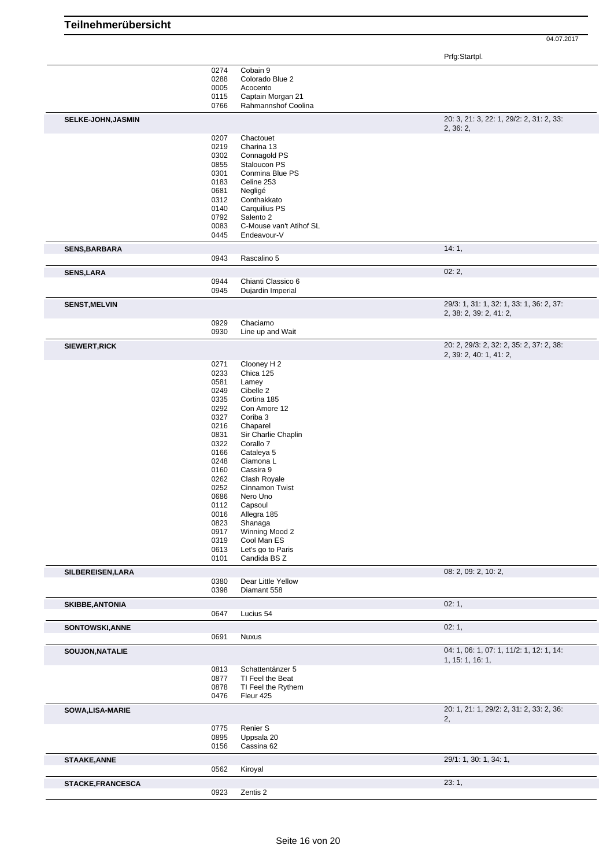|                          |                                                                                      |                                                                                                                                                                               | 04.07.2017                                                          |
|--------------------------|--------------------------------------------------------------------------------------|-------------------------------------------------------------------------------------------------------------------------------------------------------------------------------|---------------------------------------------------------------------|
|                          |                                                                                      |                                                                                                                                                                               | Prfg:Startpl.                                                       |
|                          | 0274<br>0288<br>0005<br>0115<br>0766                                                 | Cobain 9<br>Colorado Blue 2<br>Acocento<br>Captain Morgan 21<br>Rahmannshof Coolina                                                                                           |                                                                     |
| SELKE-JOHN, JASMIN       |                                                                                      |                                                                                                                                                                               | 20: 3, 21: 3, 22: 1, 29/2: 2, 31: 2, 33:                            |
|                          | 0207                                                                                 | Chactouet                                                                                                                                                                     | 2, 36: 2,                                                           |
|                          | 0219<br>0302<br>0855<br>0301<br>0183<br>0681<br>0312<br>0140<br>0792<br>0083<br>0445 | Charina 13<br>Connagold PS<br>Staloucon PS<br>Conmina Blue PS<br>Celine 253<br>Negligé<br>Conthakkato<br>Carquilius PS<br>Salento 2<br>C-Mouse van't Atihof SL<br>Endeavour-V |                                                                     |
| <b>SENS, BARBARA</b>     |                                                                                      |                                                                                                                                                                               | 14:1,                                                               |
|                          | 0943                                                                                 | Rascalino 5                                                                                                                                                                   |                                                                     |
| <b>SENS,LARA</b>         | 0944                                                                                 | Chianti Classico 6                                                                                                                                                            | 02:2,                                                               |
|                          | 0945                                                                                 | Dujardin Imperial                                                                                                                                                             |                                                                     |
| <b>SENST, MELVIN</b>     |                                                                                      |                                                                                                                                                                               | 29/3: 1, 31: 1, 32: 1, 33: 1, 36: 2, 37:                            |
|                          | 0929                                                                                 | Chaciamo                                                                                                                                                                      | 2, 38: 2, 39: 2, 41: 2,                                             |
|                          | 0930                                                                                 | Line up and Wait                                                                                                                                                              |                                                                     |
| SIEWERT, RICK            |                                                                                      |                                                                                                                                                                               | 20: 2, 29/3: 2, 32: 2, 35: 2, 37: 2, 38:<br>2, 39: 2, 40: 1, 41: 2, |
|                          | 0271                                                                                 | Clooney H 2                                                                                                                                                                   |                                                                     |
|                          | 0233<br>0581                                                                         | Chica 125<br>Lamey                                                                                                                                                            |                                                                     |
|                          | 0249                                                                                 | Cibelle 2                                                                                                                                                                     |                                                                     |
|                          | 0335                                                                                 | Cortina 185                                                                                                                                                                   |                                                                     |
|                          | 0292<br>0327                                                                         | Con Amore 12<br>Coriba 3                                                                                                                                                      |                                                                     |
|                          | 0216                                                                                 | Chaparel                                                                                                                                                                      |                                                                     |
|                          | 0831                                                                                 | Sir Charlie Chaplin                                                                                                                                                           |                                                                     |
|                          | 0322                                                                                 | Corallo 7                                                                                                                                                                     |                                                                     |
|                          | 0166<br>0248                                                                         | Cataleya 5<br>Ciamona L                                                                                                                                                       |                                                                     |
|                          | 0160                                                                                 | Cassira 9                                                                                                                                                                     |                                                                     |
|                          | 0262                                                                                 | Clash Royale                                                                                                                                                                  |                                                                     |
|                          | 0252                                                                                 | Cinnamon Twist                                                                                                                                                                |                                                                     |
|                          | 0686<br>0112                                                                         | Nero Uno<br>Capsoul                                                                                                                                                           |                                                                     |
|                          | 0016                                                                                 | Allegra 185                                                                                                                                                                   |                                                                     |
|                          | 0823                                                                                 | Shanaga                                                                                                                                                                       |                                                                     |
|                          | 0917<br>0319                                                                         | Winning Mood 2<br>Cool Man ES                                                                                                                                                 |                                                                     |
|                          | 0613                                                                                 | Let's go to Paris                                                                                                                                                             |                                                                     |
|                          | 0101                                                                                 | Candida BS Z                                                                                                                                                                  |                                                                     |
| SILBEREISEN, LARA        | 0380                                                                                 | Dear Little Yellow                                                                                                                                                            | 08: 2, 09: 2, 10: 2,                                                |
|                          | 0398                                                                                 | Diamant 558                                                                                                                                                                   |                                                                     |
| <b>SKIBBE, ANTONIA</b>   |                                                                                      |                                                                                                                                                                               | 02:1,                                                               |
|                          | 0647                                                                                 | Lucius 54                                                                                                                                                                     |                                                                     |
| SONTOWSKI, ANNE          |                                                                                      |                                                                                                                                                                               | 02:1,                                                               |
|                          | 0691                                                                                 | <b>Nuxus</b>                                                                                                                                                                  |                                                                     |
| SOUJON, NATALIE          |                                                                                      |                                                                                                                                                                               | 04: 1, 06: 1, 07: 1, 11/2: 1, 12: 1, 14:<br>1, 15: 1, 16: 1,        |
|                          | 0813<br>0877                                                                         | Schattentänzer 5<br>TI Feel the Beat                                                                                                                                          |                                                                     |
|                          | 0878                                                                                 | TI Feel the Rythem                                                                                                                                                            |                                                                     |
|                          | 0476                                                                                 | Fleur 425                                                                                                                                                                     |                                                                     |
| SOWA, LISA-MARIE         |                                                                                      |                                                                                                                                                                               | 20: 1, 21: 1, 29/2: 2, 31: 2, 33: 2, 36:<br>2,                      |
|                          | 0775                                                                                 | Renier S                                                                                                                                                                      |                                                                     |
|                          | 0895<br>0156                                                                         | Uppsala 20<br>Cassina 62                                                                                                                                                      |                                                                     |
| <b>STAAKE, ANNE</b>      |                                                                                      |                                                                                                                                                                               | 29/1: 1, 30: 1, 34: 1,                                              |
|                          | 0562                                                                                 | Kiroyal                                                                                                                                                                       |                                                                     |
| <b>STACKE, FRANCESCA</b> |                                                                                      |                                                                                                                                                                               | 23:1,                                                               |
|                          | 0923                                                                                 | Zentis 2                                                                                                                                                                      |                                                                     |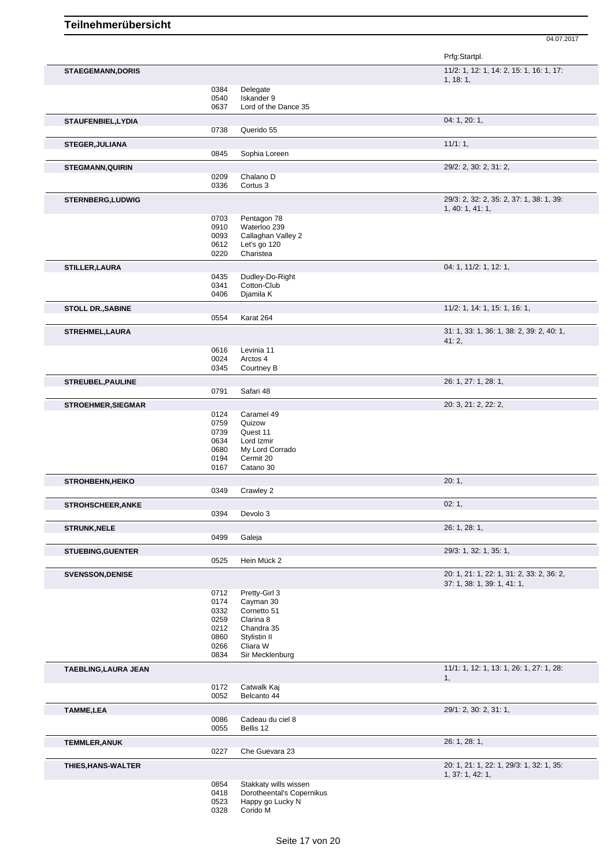|                           |              |                                                    | Prfg:Startpl.                             |
|---------------------------|--------------|----------------------------------------------------|-------------------------------------------|
| <b>STAEGEMANN, DORIS</b>  |              |                                                    | 11/2: 1, 12: 1, 14: 2, 15: 1, 16: 1, 17:  |
|                           | 0384         |                                                    | 1, 18:1,                                  |
|                           | 0540         | Delegate<br>Iskander 9                             |                                           |
|                           | 0637         | Lord of the Dance 35                               |                                           |
| STAUFENBIEL, LYDIA        |              |                                                    | 04: 1, 20: 1,                             |
|                           | 0738         | Querido 55                                         |                                           |
| <b>STEGER, JULIANA</b>    |              |                                                    | 11/1:1,                                   |
|                           | 0845         | Sophia Loreen                                      |                                           |
| <b>STEGMANN, QUIRIN</b>   |              |                                                    | 29/2: 2, 30: 2, 31: 2,                    |
|                           | 0209         | Chalano D                                          |                                           |
|                           | 0336         | Cortus 3                                           |                                           |
| <b>STERNBERG,LUDWIG</b>   |              |                                                    | 29/3: 2, 32: 2, 35: 2, 37: 1, 38: 1, 39:  |
|                           | 0703         | Pentagon 78                                        | 1, 40: 1, 41: 1,                          |
|                           | 0910         | Waterloo 239                                       |                                           |
|                           | 0093         | Callaghan Valley 2                                 |                                           |
|                           | 0612         | Let's go 120                                       |                                           |
|                           | 0220         | Charistea                                          |                                           |
| <b>STILLER, LAURA</b>     |              |                                                    | 04: 1, 11/2: 1, 12: 1,                    |
|                           | 0435         | Dudley-Do-Right                                    |                                           |
|                           | 0341         | Cotton-Club                                        |                                           |
|                           | 0406         | Djamila K                                          |                                           |
| <b>STOLL DR., SABINE</b>  |              |                                                    | 11/2: 1, 14: 1, 15: 1, 16: 1,             |
|                           | 0554         | Karat 264                                          |                                           |
| <b>STREHMEL, LAURA</b>    |              |                                                    | 31: 1, 33: 1, 36: 1, 38: 2, 39: 2, 40: 1, |
|                           | 0616         | Levinia 11                                         | 41:2,                                     |
|                           | 0024         | Arctos 4                                           |                                           |
|                           | 0345         | Courtney B                                         |                                           |
| STREUBEL, PAULINE         |              |                                                    | 26: 1, 27: 1, 28: 1,                      |
|                           | 0791         | Safari 48                                          |                                           |
|                           |              |                                                    |                                           |
| <b>STROEHMER, SIEGMAR</b> |              |                                                    | 20: 3, 21: 2, 22: 2,                      |
|                           | 0124         | Caramel 49                                         |                                           |
|                           | 0759<br>0739 | Quizow<br>Quest 11                                 |                                           |
|                           | 0634         | Lord Izmir                                         |                                           |
|                           | 0680         | My Lord Corrado                                    |                                           |
|                           | 0194         | Cermit 20                                          |                                           |
|                           | 0167         | Catano 30                                          |                                           |
| <b>STROHBEHN, HEIKO</b>   |              |                                                    | 20:1,                                     |
|                           | 0349         | Crawley 2                                          |                                           |
| <b>STROHSCHEER, ANKE</b>  |              |                                                    | 02:1,                                     |
|                           | 0394         | Devolo 3                                           |                                           |
| <b>STRUNK, NELE</b>       |              |                                                    | 26: 1, 28: 1,                             |
|                           | 0499         | Galeja                                             |                                           |
| <b>STUEBING, GUENTER</b>  |              |                                                    | 29/3: 1, 32: 1, 35: 1,                    |
|                           | 0525         | Hein Mück 2                                        |                                           |
| <b>SVENSSON, DENISE</b>   |              |                                                    | 20: 1, 21: 1, 22: 1, 31: 2, 33: 2, 36: 2, |
|                           |              |                                                    | 37: 1, 38: 1, 39: 1, 41: 1,               |
|                           | 0712         | Pretty-Girl 3                                      |                                           |
|                           | 0174         | Cayman 30<br>Cornetto 51                           |                                           |
|                           | 0332<br>0259 | Clarina 8                                          |                                           |
|                           | 0212         | Chandra 35                                         |                                           |
|                           | 0860         | Stylistin II                                       |                                           |
|                           | 0266         | Cliara W                                           |                                           |
|                           | 0834         | Sir Mecklenburg                                    |                                           |
| TAEBLING, LAURA JEAN      |              |                                                    | 11/1: 1, 12: 1, 13: 1, 26: 1, 27: 1, 28:  |
|                           |              |                                                    | 1,                                        |
|                           | 0172<br>0052 | Catwalk Kaj<br>Belcanto 44                         |                                           |
| <b>TAMME,LEA</b>          |              |                                                    | 29/1: 2, 30: 2, 31: 1,                    |
|                           | 0086         | Cadeau du ciel 8                                   |                                           |
|                           | 0055         | Bellis 12                                          |                                           |
| <b>TEMMLER, ANUK</b>      |              |                                                    | 26: 1, 28: 1,                             |
|                           | 0227         | Che Guevara 23                                     |                                           |
| THIES, HANS-WALTER        |              |                                                    | 20: 1, 21: 1, 22: 1, 29/3: 1, 32: 1, 35:  |
|                           |              |                                                    | 1, 37: 1, 42: 1,                          |
|                           | 0854         | Stakkaty wills wissen<br>Dorotheental's Copernikus |                                           |
|                           | 0418<br>0523 | Happy go Lucky N                                   |                                           |
|                           |              |                                                    |                                           |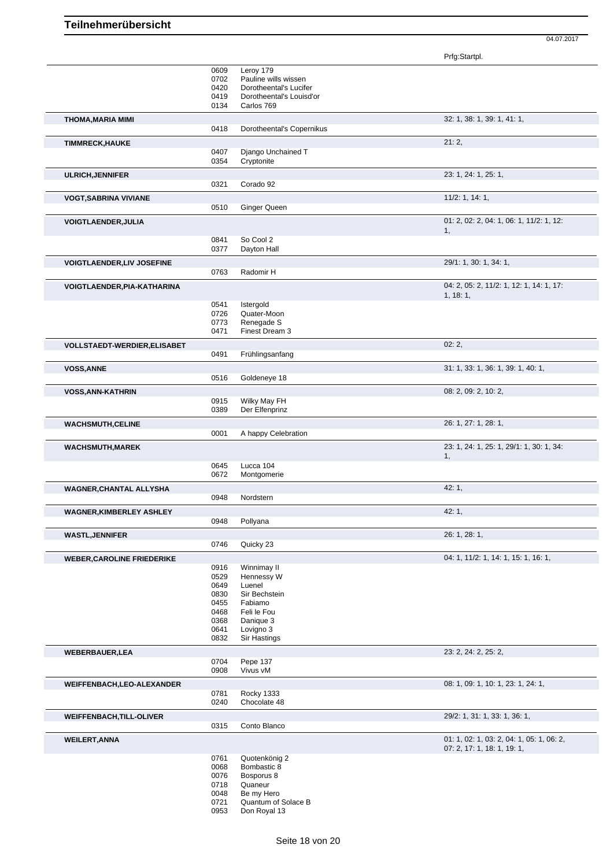| Prfg:Startpl. |
|---------------|
|---------------|

|                                   | 0609         | Leroy 179                      |                                           |
|-----------------------------------|--------------|--------------------------------|-------------------------------------------|
|                                   | 0702         | Pauline wills wissen           |                                           |
|                                   | 0420         | Dorotheental's Lucifer         |                                           |
|                                   | 0419         | Dorotheental's Louisd'or       |                                           |
|                                   | 0134         | Carlos 769                     |                                           |
| <b>THOMA, MARIA MIMI</b>          | 0418         | Dorotheental's Copernikus      | 32: 1, 38: 1, 39: 1, 41: 1,               |
|                                   |              |                                |                                           |
| <b>TIMMRECK, HAUKE</b>            | 0407         | Django Unchained T             | 21:2,                                     |
|                                   | 0354         | Cryptonite                     |                                           |
| <b>ULRICH, JENNIFER</b>           |              |                                | 23: 1, 24: 1, 25: 1,                      |
|                                   | 0321         | Corado 92                      |                                           |
| <b>VOGT, SABRINA VIVIANE</b>      |              |                                | $11/2$ : 1, 14: 1,                        |
|                                   | 0510         | <b>Ginger Queen</b>            |                                           |
| <b>VOIGTLAENDER, JULIA</b>        |              |                                | 01: 2, 02: 2, 04: 1, 06: 1, 11/2: 1, 12:  |
|                                   |              |                                | 1,                                        |
|                                   | 0841         | So Cool 2                      |                                           |
|                                   | 0377         | Dayton Hall                    |                                           |
| <b>VOIGTLAENDER, LIV JOSEFINE</b> | 0763         | Radomir H                      | 29/1: 1, 30: 1, 34: 1,                    |
|                                   |              |                                |                                           |
| VOIGTLAENDER, PIA-KATHARINA       |              |                                | 04: 2, 05: 2, 11/2: 1, 12: 1, 14: 1, 17:  |
|                                   | 0541         | Istergold                      | 1, 18:1,                                  |
|                                   | 0726         | Quater-Moon                    |                                           |
|                                   | 0773         | Renegade S                     |                                           |
|                                   | 0471         | Finest Dream 3                 |                                           |
| VOLLSTAEDT-WERDIER, ELISABET      |              |                                | 02:2,                                     |
|                                   | 0491         | Frühlingsanfang                |                                           |
| <b>VOSS, ANNE</b>                 |              |                                | 31: 1, 33: 1, 36: 1, 39: 1, 40: 1,        |
|                                   | 0516         | Goldeneye 18                   |                                           |
| <b>VOSS, ANN-KATHRIN</b>          |              |                                | 08: 2, 09: 2, 10: 2,                      |
|                                   | 0915<br>0389 | Wilky May FH<br>Der Elfenprinz |                                           |
|                                   |              |                                |                                           |
| <b>WACHSMUTH, CELINE</b>          |              |                                | 26: 1, 27: 1, 28: 1,                      |
|                                   | 0001         | A happy Celebration            |                                           |
| <b>WACHSMUTH, MAREK</b>           |              |                                | 23: 1, 24: 1, 25: 1, 29/1: 1, 30: 1, 34:  |
|                                   | 0645         | Lucca 104                      | 1,                                        |
|                                   | 0672         | Montgomerie                    |                                           |
| WAGNER, CHANTAL ALLYSHA           |              |                                | 42:1,                                     |
|                                   | 0948         | Nordstern                      |                                           |
| <b>WAGNER, KIMBERLEY ASHLEY</b>   |              |                                | 42: 1,                                    |
|                                   | 0948         | Pollyana                       |                                           |
| <b>WASTL, JENNIFER</b>            |              |                                | 26: 1, 28: 1,                             |
|                                   | 0746         | Quicky 23                      |                                           |
| <b>WEBER, CAROLINE FRIEDERIKE</b> |              |                                | 04: 1, 11/2: 1, 14: 1, 15: 1, 16: 1,      |
|                                   | 0916         | Winnimay II                    |                                           |
|                                   | 0529         | Hennessy W                     |                                           |
|                                   | 0649<br>0830 | Luenel<br>Sir Bechstein        |                                           |
|                                   | 0455         | Fabiamo                        |                                           |
|                                   | 0468         | Feli le Fou                    |                                           |
|                                   | 0368         | Danique 3                      |                                           |
|                                   | 0641         | Lovigno 3                      |                                           |
|                                   | 0832         | Sir Hastings                   |                                           |
| WEBERBAUER, LEA                   | 0704         |                                | 23: 2, 24: 2, 25: 2,                      |
|                                   | 0908         | Pepe 137<br>Vivus vM           |                                           |
|                                   |              |                                |                                           |
| WEIFFENBACH, LEO-ALEXANDER        | 0781         | <b>Rocky 1333</b>              | 08: 1, 09: 1, 10: 1, 23: 1, 24: 1,        |
|                                   | 0240         | Chocolate 48                   |                                           |
| <b>WEIFFENBACH, TILL-OLIVER</b>   |              |                                | 29/2: 1, 31: 1, 33: 1, 36: 1,             |
|                                   | 0315         | Conto Blanco                   |                                           |
| <b>WEILERT, ANNA</b>              |              |                                | 01: 1, 02: 1, 03: 2, 04: 1, 05: 1, 06: 2, |
|                                   |              |                                | 07: 2, 17: 1, 18: 1, 19: 1,               |
|                                   | 0761         | Quotenkönig 2                  |                                           |
|                                   | 0068         | Bombastic 8                    |                                           |
|                                   | 0076         | Bosporus 8                     |                                           |
|                                   | 0718<br>0048 | Quaneur<br>Be my Hero          |                                           |
|                                   | 0721         | Quantum of Solace B            |                                           |
|                                   | 0953         | Don Royal 13                   |                                           |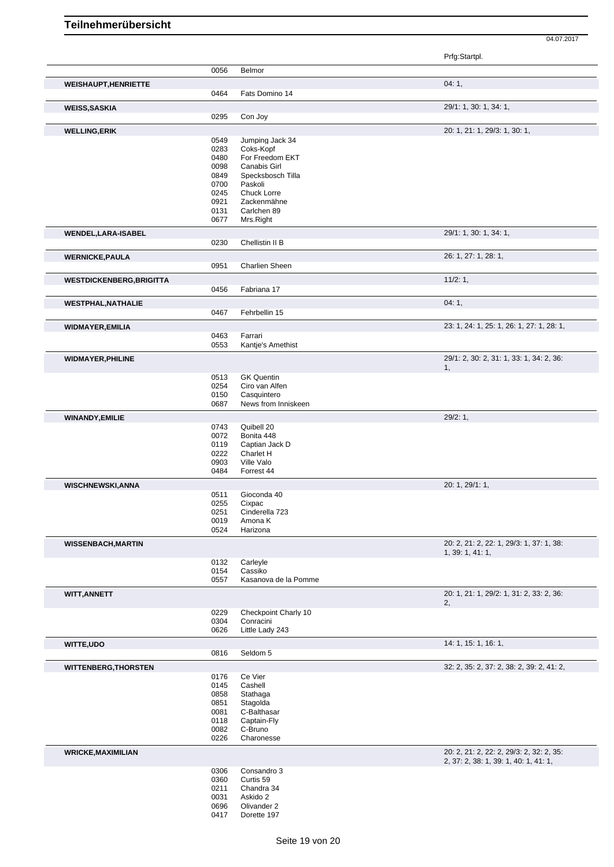04.07.2017

|                                 |              |                                    | Pily Stallpi.                             |
|---------------------------------|--------------|------------------------------------|-------------------------------------------|
|                                 | 0056         | Belmor                             |                                           |
|                                 |              |                                    | 04:1,                                     |
| <b>WEISHAUPT, HENRIETTE</b>     | 0464         | Fats Domino 14                     |                                           |
|                                 |              |                                    |                                           |
| <b>WEISS, SASKIA</b>            |              |                                    | 29/1: 1, 30: 1, 34: 1,                    |
|                                 | 0295         | Con Joy                            |                                           |
| <b>WELLING,ERIK</b>             |              |                                    | 20: 1, 21: 1, 29/3: 1, 30: 1,             |
|                                 | 0549         | Jumping Jack 34                    |                                           |
|                                 | 0283         | Coks-Kopf                          |                                           |
|                                 | 0480         | For Freedom EKT                    |                                           |
|                                 | 0098         | <b>Canabis Girl</b>                |                                           |
|                                 | 0849         | Specksbosch Tilla                  |                                           |
|                                 | 0700         | Paskoli                            |                                           |
|                                 | 0245         | Chuck Lorre                        |                                           |
|                                 | 0921         | Zackenmähne                        |                                           |
|                                 | 0131         | Carlchen 89                        |                                           |
|                                 | 0677         | Mrs.Right                          |                                           |
| <b>WENDEL, LARA-ISABEL</b>      |              |                                    | 29/1: 1, 30: 1, 34: 1,                    |
|                                 | 0230         | Chellistin II B                    |                                           |
| <b>WERNICKE, PAULA</b>          |              |                                    | 26: 1, 27: 1, 28: 1,                      |
|                                 | 0951         | <b>Charlien Sheen</b>              |                                           |
|                                 |              |                                    |                                           |
| <b>WESTDICKENBERG, BRIGITTA</b> |              |                                    | 11/2:1,                                   |
|                                 | 0456         | Fabriana 17                        |                                           |
| <b>WESTPHAL, NATHALIE</b>       |              |                                    | 04:1,                                     |
|                                 | 0467         | Fehrbellin 15                      |                                           |
| <b>WIDMAYER, EMILIA</b>         |              |                                    | 23: 1, 24: 1, 25: 1, 26: 1, 27: 1, 28: 1, |
|                                 | 0463         | Farrari                            |                                           |
|                                 | 0553         | Kantje's Amethist                  |                                           |
|                                 |              |                                    |                                           |
| <b>WIDMAYER, PHILINE</b>        |              |                                    | 29/1: 2, 30: 2, 31: 1, 33: 1, 34: 2, 36:  |
|                                 |              |                                    | 1,                                        |
|                                 | 0513         | <b>GK Quentin</b>                  |                                           |
|                                 | 0254         | Ciro van Alfen                     |                                           |
|                                 | 0150<br>0687 | Casquintero<br>News from Inniskeen |                                           |
|                                 |              |                                    |                                           |
| <b>WINANDY, EMILIE</b>          |              |                                    | 29/2:1,                                   |
|                                 | 0743         | Quibell 20                         |                                           |
|                                 | 0072         | Bonita 448                         |                                           |
|                                 | 0119         | Captian Jack D                     |                                           |
|                                 | 0222         | Charlet H                          |                                           |
|                                 | 0903         | Ville Valo                         |                                           |
|                                 | 0484         | Forrest 44                         |                                           |
| <b>WISCHNEWSKI, ANNA</b>        |              |                                    | 20: 1, 29/1: 1,                           |
|                                 | 0511         | Gioconda 40                        |                                           |
|                                 | 0255         | Cixpac                             |                                           |
|                                 | 0251         | Cinderella 723                     |                                           |
|                                 | 0019         | Amona K                            |                                           |
|                                 | 0524         | Harizona                           |                                           |
| <b>WISSENBACH, MARTIN</b>       |              |                                    | 20: 2, 21: 2, 22: 1, 29/3: 1, 37: 1, 38:  |
|                                 |              |                                    | 1, 39: 1, 41: 1,                          |
|                                 | 0132         | Carleyle                           |                                           |
|                                 | 0154         | Cassiko                            |                                           |
|                                 | 0557         | Kasanova de la Pomme               |                                           |
| <b>WITT, ANNETT</b>             |              |                                    | 20: 1, 21: 1, 29/2: 1, 31: 2, 33: 2, 36:  |
|                                 |              |                                    | 2,                                        |
|                                 | 0229         | Checkpoint Charly 10               |                                           |
|                                 | 0304<br>0626 | Conracini<br>Little Lady 243       |                                           |
|                                 |              |                                    |                                           |
| WITTE, UDO                      |              |                                    | 14: 1, 15: 1, 16: 1,                      |
|                                 | 0816         | Seldom 5                           |                                           |
| <b>WITTENBERG, THORSTEN</b>     |              |                                    | 32: 2, 35: 2, 37: 2, 38: 2, 39: 2, 41: 2, |
|                                 | 0176         | Ce Vier                            |                                           |
|                                 | 0145         | Cashell                            |                                           |
|                                 | 0858         | Stathaga                           |                                           |
|                                 | 0851         | Stagolda                           |                                           |
|                                 | 0081         | C-Balthasar                        |                                           |
|                                 | 0118         | Captain-Fly                        |                                           |
|                                 | 0082         | C-Bruno                            |                                           |
|                                 | 0226         | Charonesse                         |                                           |
| <b>WRICKE, MAXIMILIAN</b>       |              |                                    | 20: 2, 21: 2, 22: 2, 29/3: 2, 32: 2, 35:  |
|                                 |              |                                    | 2, 37: 2, 38: 1, 39: 1, 40: 1, 41: 1,     |
|                                 | 0306         | Consandro 3                        |                                           |
|                                 | 0360         | Curtis 59                          |                                           |
|                                 | 0211         | Chandra 34                         |                                           |
|                                 | 0031         | Askido 2                           |                                           |
|                                 | 0696<br>0417 | Olivander 2<br>Dorette 197         |                                           |
|                                 |              |                                    |                                           |